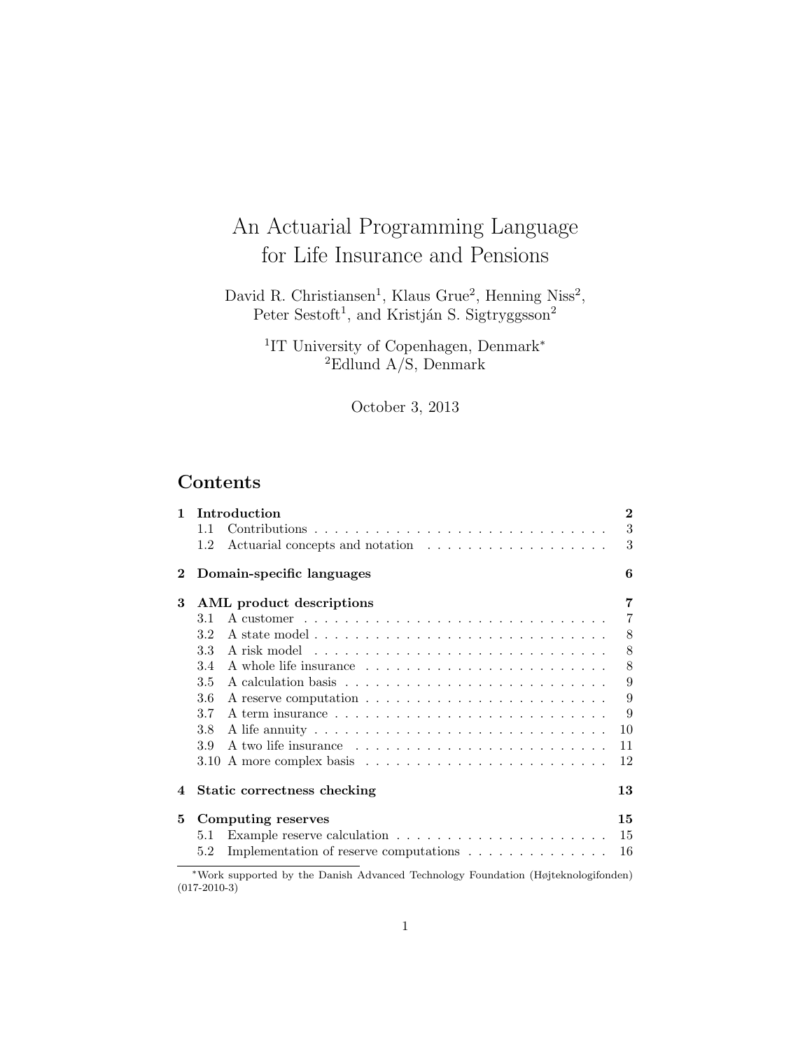# An Actuarial Programming Language for Life Insurance and Pensions

David R. Christiansen<sup>1</sup>, Klaus Grue<sup>2</sup>, Henning Niss<sup>2</sup>, Peter Sestoft<sup>1</sup>, and Kristján S. Sigtryggsson<sup>2</sup>

> <sup>1</sup>IT University of Copenhagen, Denmark<sup>\*</sup> <sup>2</sup>Edlund A/S, Denmark

> > October 3, 2013

# Contents

| $\mathbf{1}$ | Introduction                                                                                            | $\bf{2}$       |
|--------------|---------------------------------------------------------------------------------------------------------|----------------|
|              | 1.1                                                                                                     | 3              |
|              | 1.2                                                                                                     | 3              |
| $\bf{2}$     | Domain-specific languages                                                                               | 6              |
| 3            | AML product descriptions                                                                                | $\overline{7}$ |
|              | A customer $\dots \dots \dots \dots \dots \dots \dots \dots \dots \dots \dots \dots$<br>3.1             | $\overline{7}$ |
|              | 3.2                                                                                                     | 8              |
|              | 3.3                                                                                                     | 8              |
|              | 3.4                                                                                                     | 8              |
|              | 3.5                                                                                                     | 9              |
|              | 3.6                                                                                                     | 9              |
|              | 3.7                                                                                                     | 9              |
|              | 3.8                                                                                                     | 10             |
|              | 3.9                                                                                                     | 11             |
|              |                                                                                                         | 12             |
| 4            | Static correctness checking                                                                             | 13             |
| 5            | Computing reserves                                                                                      | 15             |
|              | Example reserve calculation $\ldots \ldots \ldots \ldots \ldots \ldots \ldots$<br>5.1                   | 15             |
|              | Implementation of reserve computations<br>5.2                                                           | 16             |
|              | $*xx$ because one of the absorption of Asheman diffusion of the distribution (Hattering 1, attack deal) |                |

<sup>∗</sup>Work supported by the Danish Advanced Technology Foundation (Højteknologifonden) (017-2010-3)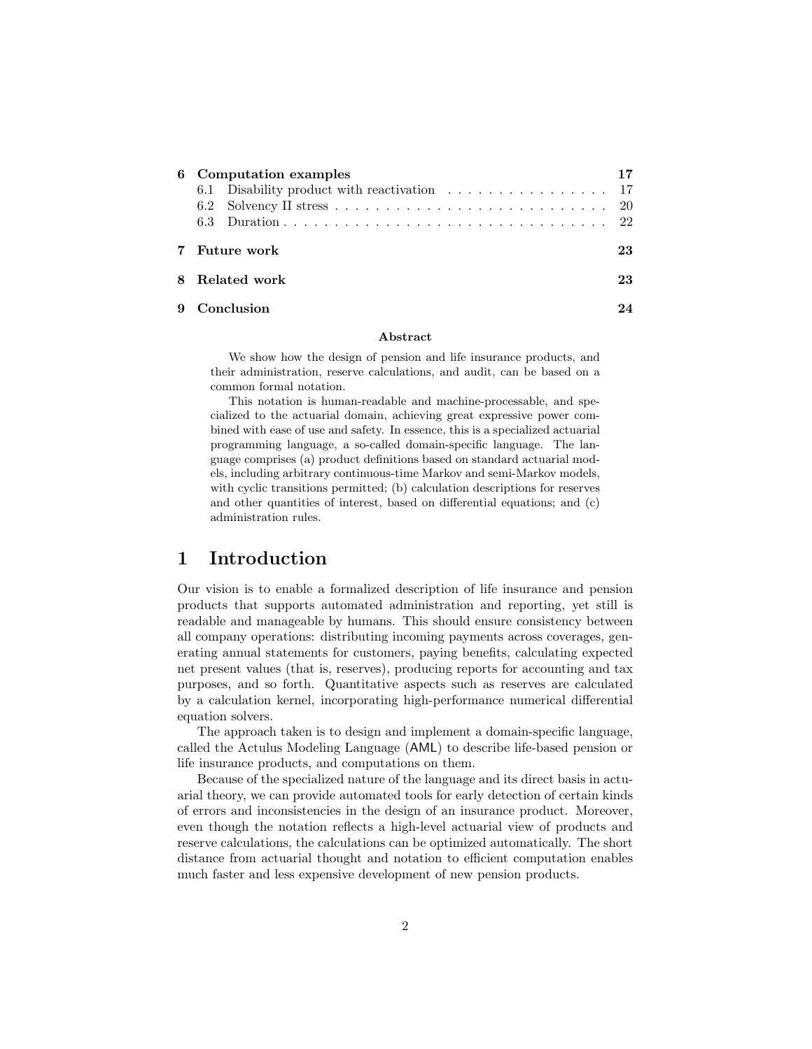| 6 Computation examples                      |  |  |  |
|---------------------------------------------|--|--|--|
| 6.1 Disability product with reactivation 17 |  |  |  |
|                                             |  |  |  |
|                                             |  |  |  |
| 7 Future work<br>23.                        |  |  |  |
| 8 Related work                              |  |  |  |
| Conclusion                                  |  |  |  |

#### Abstract

We show how the design of pension and life insurance products, and their administration, reserve calculations, and audit, can be based on a common formal notation.

This notation is human-readable and machine-processable, and specialized to the actuarial domain, achieving great expressive power combined with ease of use and safety. In essence, this is a specialized actuarial programming language, a so-called domain-specific language. The language comprises (a) product definitions based on standard actuarial models, including arbitrary continuous-time Markov and semi-Markov models, with cyclic transitions permitted; (b) calculation descriptions for reserves and other quantities of interest, based on differential equations; and (c) administration rules.

# 1 Introduction

Our vision is to enable a formalized description of life insurance and pension products that supports automated administration and reporting, yet still is readable and manageable by humans. This should ensure consistency between all company operations: distributing incoming payments across coverages, generating annual statements for customers, paying benefits, calculating expected net present values (that is, reserves), producing reports for accounting and tax purposes, and so forth. Quantitative aspects such as reserves are calculated by a calculation kernel, incorporating high-performance numerical differential equation solvers.

The approach taken is to design and implement a domain-specific language, called the Actulus Modeling Language (AML) to describe life-based pension or life insurance products, and computations on them.

Because of the specialized nature of the language and its direct basis in actuarial theory, we can provide automated tools for early detection of certain kinds of errors and inconsistencies in the design of an insurance product. Moreover, even though the notation reflects a high-level actuarial view of products and reserve calculations, the calculations can be optimized automatically. The short distance from actuarial thought and notation to efficient computation enables much faster and less expensive development of new pension products.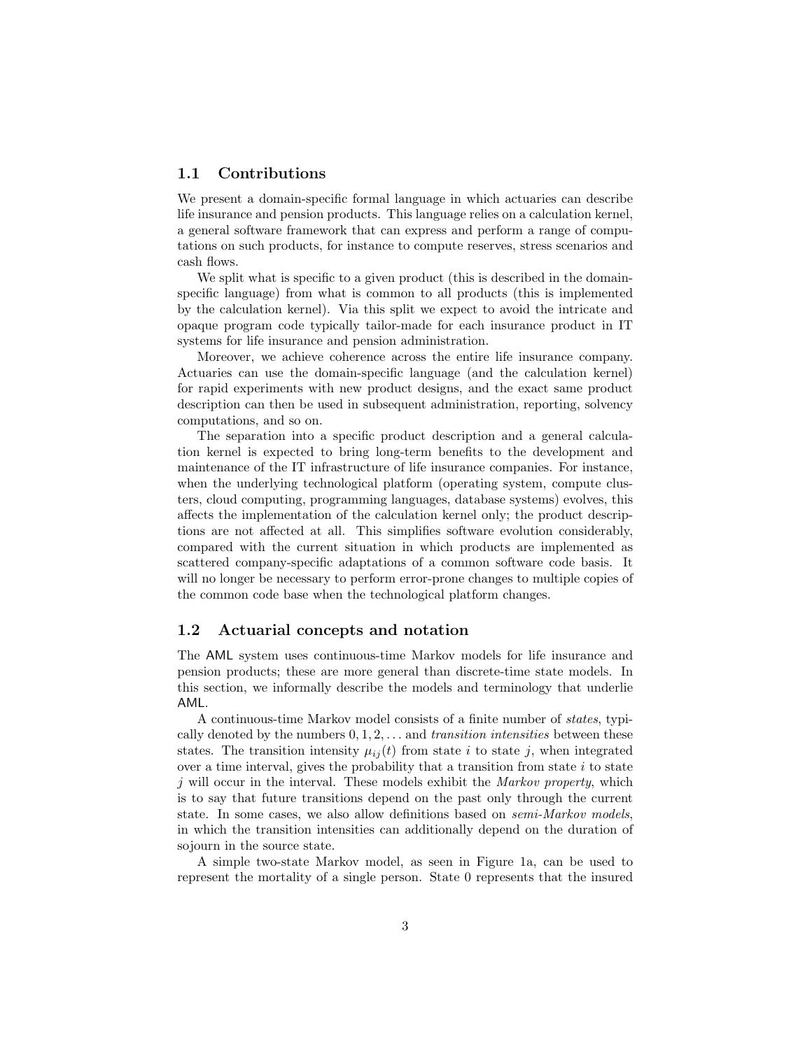#### 1.1 Contributions

We present a domain-specific formal language in which actuaries can describe life insurance and pension products. This language relies on a calculation kernel, a general software framework that can express and perform a range of computations on such products, for instance to compute reserves, stress scenarios and cash flows.

We split what is specific to a given product (this is described in the domainspecific language) from what is common to all products (this is implemented by the calculation kernel). Via this split we expect to avoid the intricate and opaque program code typically tailor-made for each insurance product in IT systems for life insurance and pension administration.

Moreover, we achieve coherence across the entire life insurance company. Actuaries can use the domain-specific language (and the calculation kernel) for rapid experiments with new product designs, and the exact same product description can then be used in subsequent administration, reporting, solvency computations, and so on.

The separation into a specific product description and a general calculation kernel is expected to bring long-term benefits to the development and maintenance of the IT infrastructure of life insurance companies. For instance, when the underlying technological platform (operating system, compute clusters, cloud computing, programming languages, database systems) evolves, this affects the implementation of the calculation kernel only; the product descriptions are not affected at all. This simplifies software evolution considerably, compared with the current situation in which products are implemented as scattered company-specific adaptations of a common software code basis. It will no longer be necessary to perform error-prone changes to multiple copies of the common code base when the technological platform changes.

#### 1.2 Actuarial concepts and notation

The AML system uses continuous-time Markov models for life insurance and pension products; these are more general than discrete-time state models. In this section, we informally describe the models and terminology that underlie AML.

A continuous-time Markov model consists of a finite number of states, typically denoted by the numbers  $0, 1, 2, \ldots$  and transition intensities between these states. The transition intensity  $\mu_{ij}(t)$  from state i to state j, when integrated over a time interval, gives the probability that a transition from state  $i$  to state  $j$  will occur in the interval. These models exhibit the *Markov property*, which is to say that future transitions depend on the past only through the current state. In some cases, we also allow definitions based on semi-Markov models, in which the transition intensities can additionally depend on the duration of sojourn in the source state.

A simple two-state Markov model, as seen in Figure 1a, can be used to represent the mortality of a single person. State 0 represents that the insured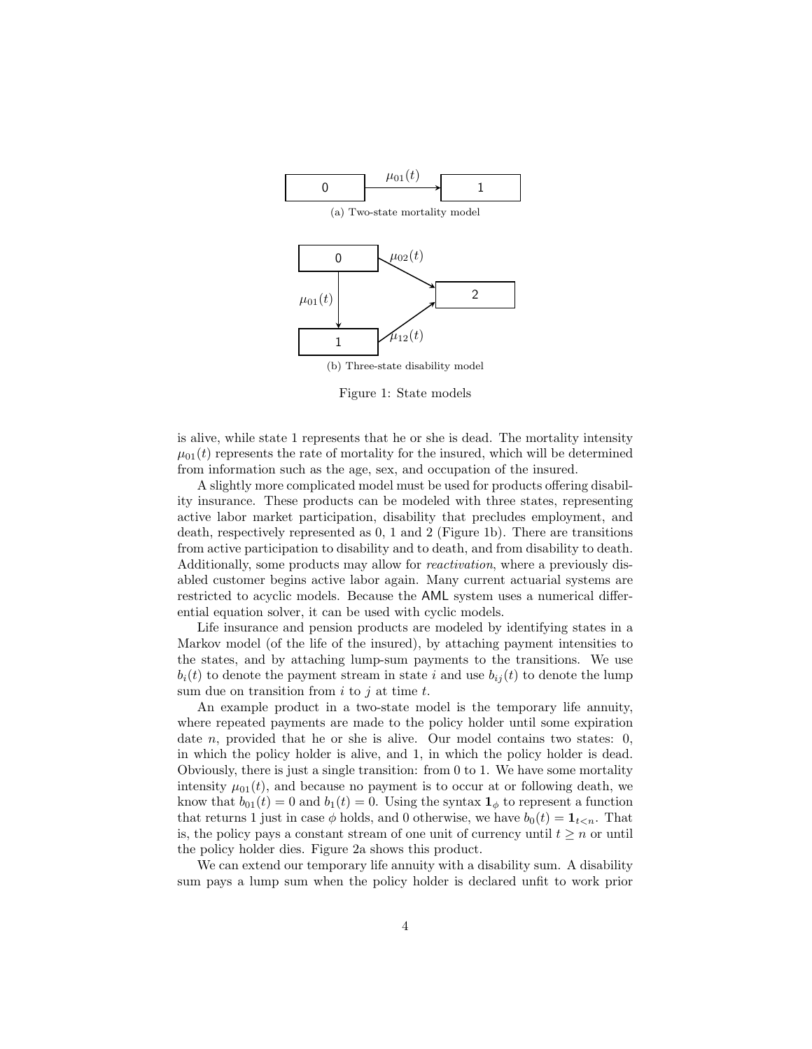

Figure 1: State models

is alive, while state 1 represents that he or she is dead. The mortality intensity  $\mu_{01}(t)$  represents the rate of mortality for the insured, which will be determined from information such as the age, sex, and occupation of the insured.

A slightly more complicated model must be used for products offering disability insurance. These products can be modeled with three states, representing active labor market participation, disability that precludes employment, and death, respectively represented as 0, 1 and 2 (Figure 1b). There are transitions from active participation to disability and to death, and from disability to death. Additionally, some products may allow for reactivation, where a previously disabled customer begins active labor again. Many current actuarial systems are restricted to acyclic models. Because the AML system uses a numerical differential equation solver, it can be used with cyclic models.

Life insurance and pension products are modeled by identifying states in a Markov model (of the life of the insured), by attaching payment intensities to the states, and by attaching lump-sum payments to the transitions. We use  $b_i(t)$  to denote the payment stream in state i and use  $b_{ij}(t)$  to denote the lump sum due on transition from  $i$  to  $j$  at time  $t$ .

An example product in a two-state model is the temporary life annuity, where repeated payments are made to the policy holder until some expiration date  $n$ , provided that he or she is alive. Our model contains two states: 0, in which the policy holder is alive, and 1, in which the policy holder is dead. Obviously, there is just a single transition: from 0 to 1. We have some mortality intensity  $\mu_{01}(t)$ , and because no payment is to occur at or following death, we know that  $b_{01}(t) = 0$  and  $b_1(t) = 0$ . Using the syntax  $\mathbf{1}_{\phi}$  to represent a function that returns 1 just in case  $\phi$  holds, and 0 otherwise, we have  $b_0(t) = \mathbf{1}_{t \leq n}$ . That is, the policy pays a constant stream of one unit of currency until  $t \geq n$  or until the policy holder dies. Figure 2a shows this product.

We can extend our temporary life annuity with a disability sum. A disability sum pays a lump sum when the policy holder is declared unfit to work prior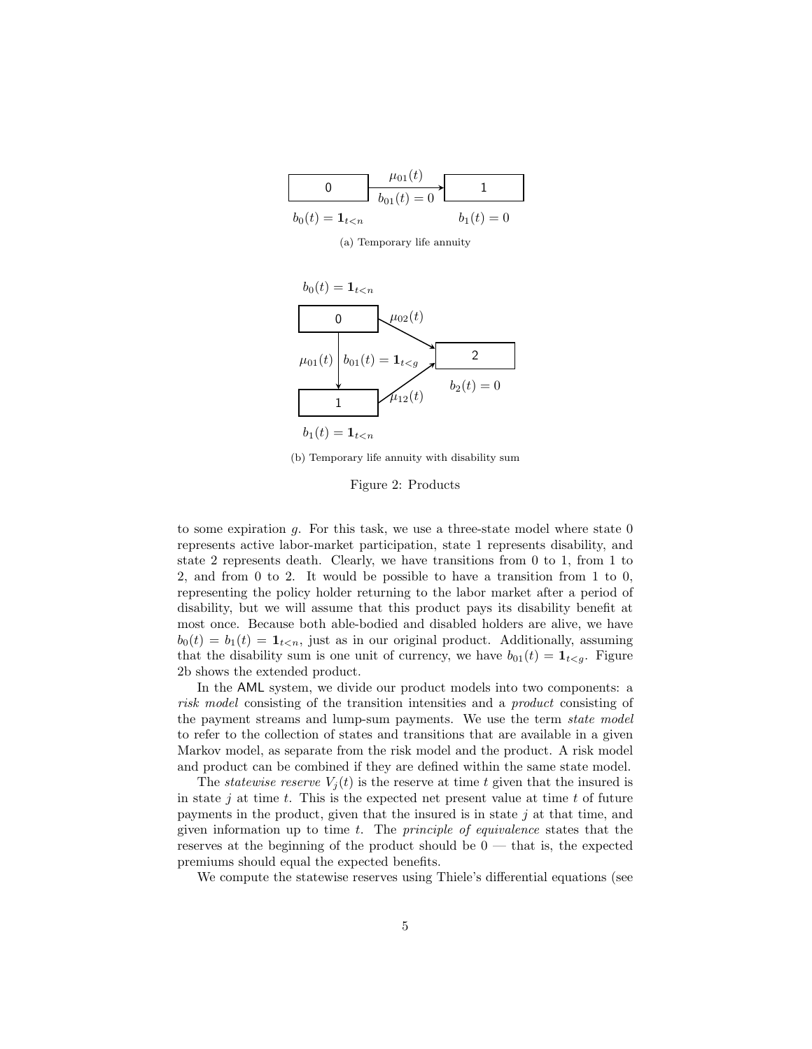|                               | $\mu_{01}(t)$<br>$b_{01}(t) = 0$ |              |
|-------------------------------|----------------------------------|--------------|
| $b_0(t) = \mathbf{1}_{t < n}$ |                                  | $b_1(t) = 0$ |

(a) Temporary life annuity



(b) Temporary life annuity with disability sum

Figure 2: Products

to some expiration  $g$ . For this task, we use a three-state model where state  $0$ represents active labor-market participation, state 1 represents disability, and state 2 represents death. Clearly, we have transitions from 0 to 1, from 1 to 2, and from 0 to 2. It would be possible to have a transition from 1 to 0, representing the policy holder returning to the labor market after a period of disability, but we will assume that this product pays its disability benefit at most once. Because both able-bodied and disabled holders are alive, we have  $b_0(t) = b_1(t) = \mathbf{1}_{t \le n}$ , just as in our original product. Additionally, assuming that the disability sum is one unit of currency, we have  $b_{01}(t) = \mathbf{1}_{t < q}$ . Figure 2b shows the extended product.

In the AML system, we divide our product models into two components: a risk model consisting of the transition intensities and a product consisting of the payment streams and lump-sum payments. We use the term state model to refer to the collection of states and transitions that are available in a given Markov model, as separate from the risk model and the product. A risk model and product can be combined if they are defined within the same state model.

The *statewise reserve*  $V_i(t)$  is the reserve at time t given that the insured is in state j at time  $t$ . This is the expected net present value at time  $t$  of future payments in the product, given that the insured is in state  $j$  at that time, and given information up to time  $t$ . The *principle of equivalence* states that the reserves at the beginning of the product should be  $0$  — that is, the expected premiums should equal the expected benefits.

We compute the statewise reserves using Thiele's differential equations (see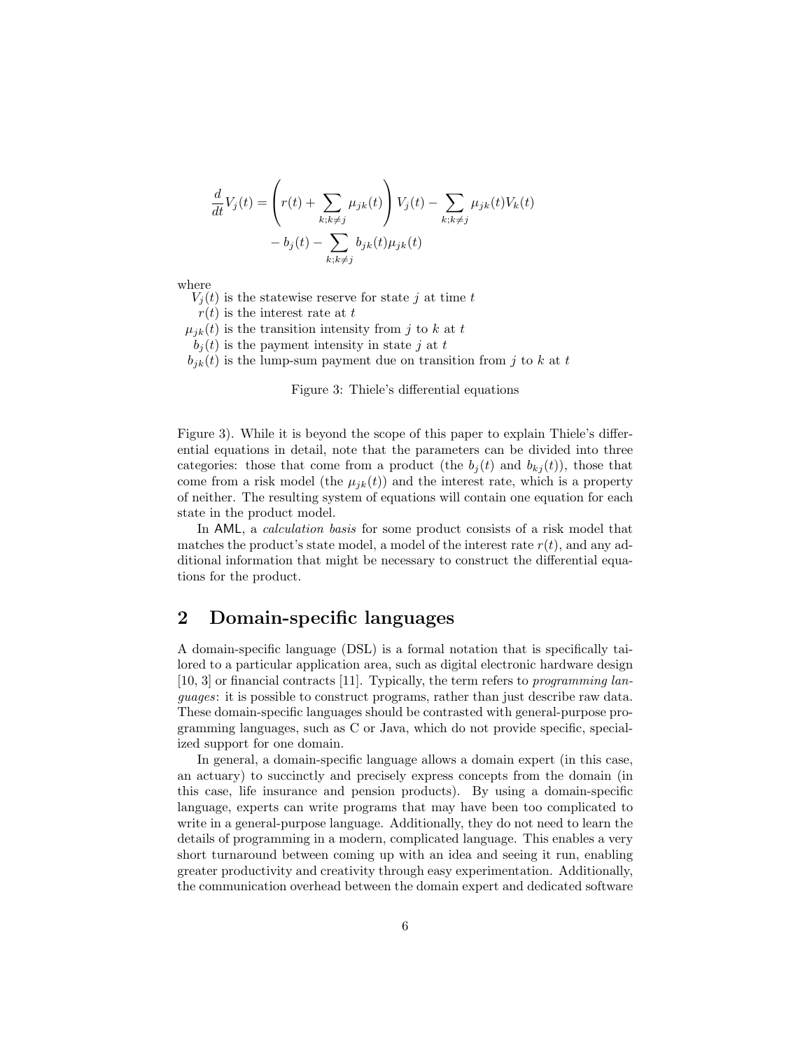$$
\frac{d}{dt}V_j(t) = \left(r(t) + \sum_{k;k\neq j} \mu_{jk}(t)\right) V_j(t) - \sum_{k;k\neq j} \mu_{jk}(t) V_k(t) - b_j(t) - \sum_{k;k\neq j} b_{jk}(t)\mu_{jk}(t)
$$

where

 $V_i(t)$  is the statewise reserve for state j at time t

 $r(t)$  is the interest rate at t

 $\mu_{ik}(t)$  is the transition intensity from j to k at t

 $b_i(t)$  is the payment intensity in state j at t

 $b_{ik}(t)$  is the lump-sum payment due on transition from j to k at t

#### Figure 3: Thiele's differential equations

Figure 3). While it is beyond the scope of this paper to explain Thiele's differential equations in detail, note that the parameters can be divided into three categories: those that come from a product (the  $b_j(t)$  and  $b_{kj}(t)$ ), those that come from a risk model (the  $\mu_{ik}(t)$ ) and the interest rate, which is a property of neither. The resulting system of equations will contain one equation for each state in the product model.

In AML, a calculation basis for some product consists of a risk model that matches the product's state model, a model of the interest rate  $r(t)$ , and any additional information that might be necessary to construct the differential equations for the product.

# 2 Domain-specific languages

A domain-specific language (DSL) is a formal notation that is specifically tailored to a particular application area, such as digital electronic hardware design  $[10, 3]$  or financial contracts  $[11]$ . Typically, the term refers to programming languages: it is possible to construct programs, rather than just describe raw data. These domain-specific languages should be contrasted with general-purpose programming languages, such as C or Java, which do not provide specific, specialized support for one domain.

In general, a domain-specific language allows a domain expert (in this case, an actuary) to succinctly and precisely express concepts from the domain (in this case, life insurance and pension products). By using a domain-specific language, experts can write programs that may have been too complicated to write in a general-purpose language. Additionally, they do not need to learn the details of programming in a modern, complicated language. This enables a very short turnaround between coming up with an idea and seeing it run, enabling greater productivity and creativity through easy experimentation. Additionally, the communication overhead between the domain expert and dedicated software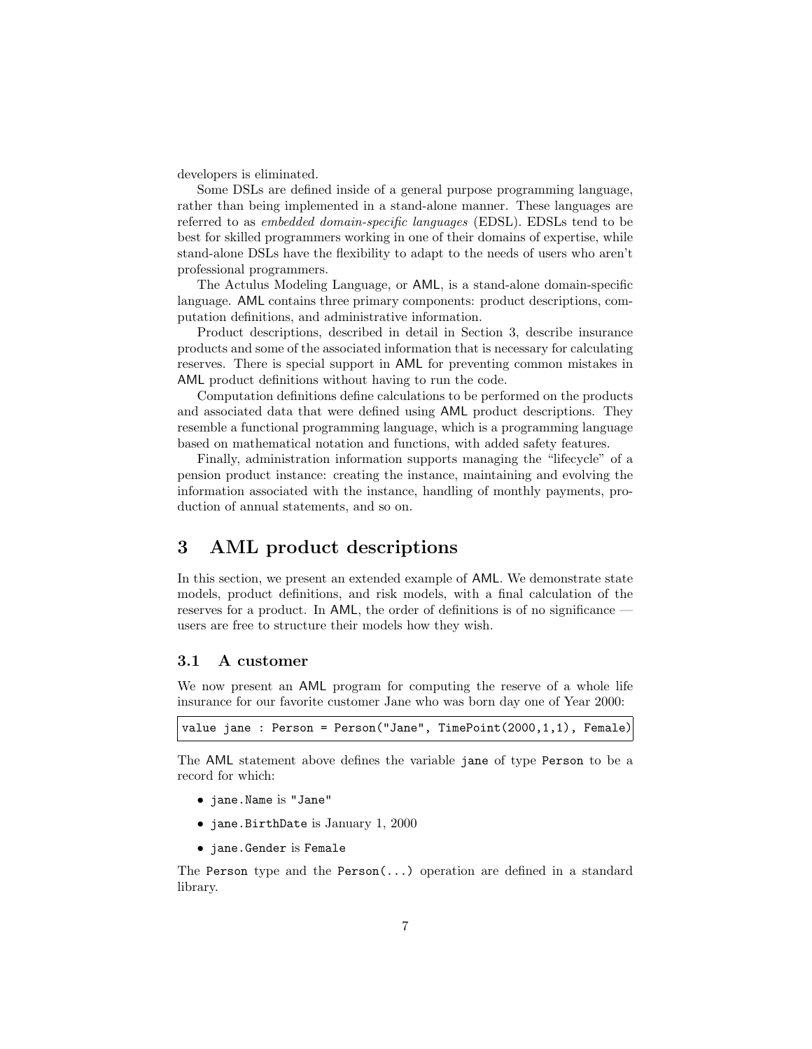developers is eliminated.

Some DSLs are defined inside of a general purpose programming language, rather than being implemented in a stand-alone manner. These languages are referred to as embedded domain-specific languages (EDSL). EDSLs tend to be best for skilled programmers working in one of their domains of expertise, while stand-alone DSLs have the flexibility to adapt to the needs of users who aren't professional programmers.

The Actulus Modeling Language, or AML, is a stand-alone domain-specific language. AML contains three primary components: product descriptions, computation definitions, and administrative information.

Product descriptions, described in detail in Section 3, describe insurance products and some of the associated information that is necessary for calculating reserves. There is special support in AML for preventing common mistakes in AML product definitions without having to run the code.

Computation definitions define calculations to be performed on the products and associated data that were defined using AML product descriptions. They resemble a functional programming language, which is a programming language based on mathematical notation and functions, with added safety features.

Finally, administration information supports managing the "lifecycle" of a pension product instance: creating the instance, maintaining and evolving the information associated with the instance, handling of monthly payments, production of annual statements, and so on.

# 3 AML product descriptions

In this section, we present an extended example of AML. We demonstrate state models, product definitions, and risk models, with a final calculation of the reserves for a product. In AML, the order of definitions is of no significance users are free to structure their models how they wish.

#### 3.1 A customer

We now present an AML program for computing the reserve of a whole life insurance for our favorite customer Jane who was born day one of Year 2000:

```
value jane : Person = Person("Jane", TimePoint(2000,1,1), Female)
```
The AML statement above defines the variable jane of type Person to be a record for which:

- jane.Name is "Jane"
- jane.BirthDate is January 1, 2000
- jane.Gender is Female

The Person type and the Person $(\ldots)$  operation are defined in a standard library.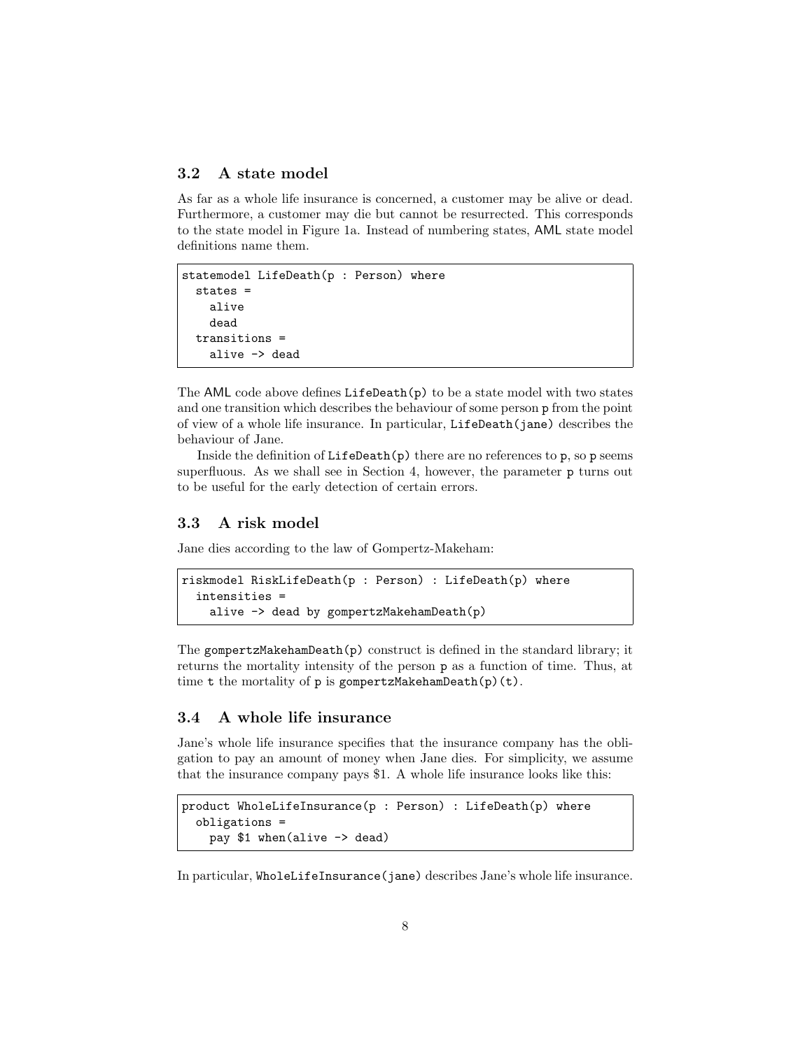## 3.2 A state model

As far as a whole life insurance is concerned, a customer may be alive or dead. Furthermore, a customer may die but cannot be resurrected. This corresponds to the state model in Figure 1a. Instead of numbering states, AML state model definitions name them.

```
statemodel LifeDeath(p : Person) where
  states =
    alive
    dead
  transitions =
    alive -> dead
```
The AML code above defines  $LifeDeath(p)$  to be a state model with two states and one transition which describes the behaviour of some person p from the point of view of a whole life insurance. In particular, LifeDeath(jane) describes the behaviour of Jane.

Inside the definition of  $LifeDeath(p)$  there are no references to p, so p seems superfluous. As we shall see in Section 4, however, the parameter p turns out to be useful for the early detection of certain errors.

## 3.3 A risk model

Jane dies according to the law of Gompertz-Makeham:

```
riskmodel RiskLifeDeath(p : Person) : LifeDeath(p) where
  intensities =
    alive -> dead by gompertzMakehamDeath(p)
```
The gompertzMakehamDeath $(p)$  construct is defined in the standard library; it returns the mortality intensity of the person p as a function of time. Thus, at time t the mortality of  $p$  is gompertzMakehamDeath $(p)(t)$ .

#### 3.4 A whole life insurance

Jane's whole life insurance specifies that the insurance company has the obligation to pay an amount of money when Jane dies. For simplicity, we assume that the insurance company pays \$1. A whole life insurance looks like this:

```
product WholeLifeInsurance(p : Person) : LifeDeath(p) where
  obligations =
   pay $1 when(alive -> dead)
```
In particular, WholeLifeInsurance(jane) describes Jane's whole life insurance.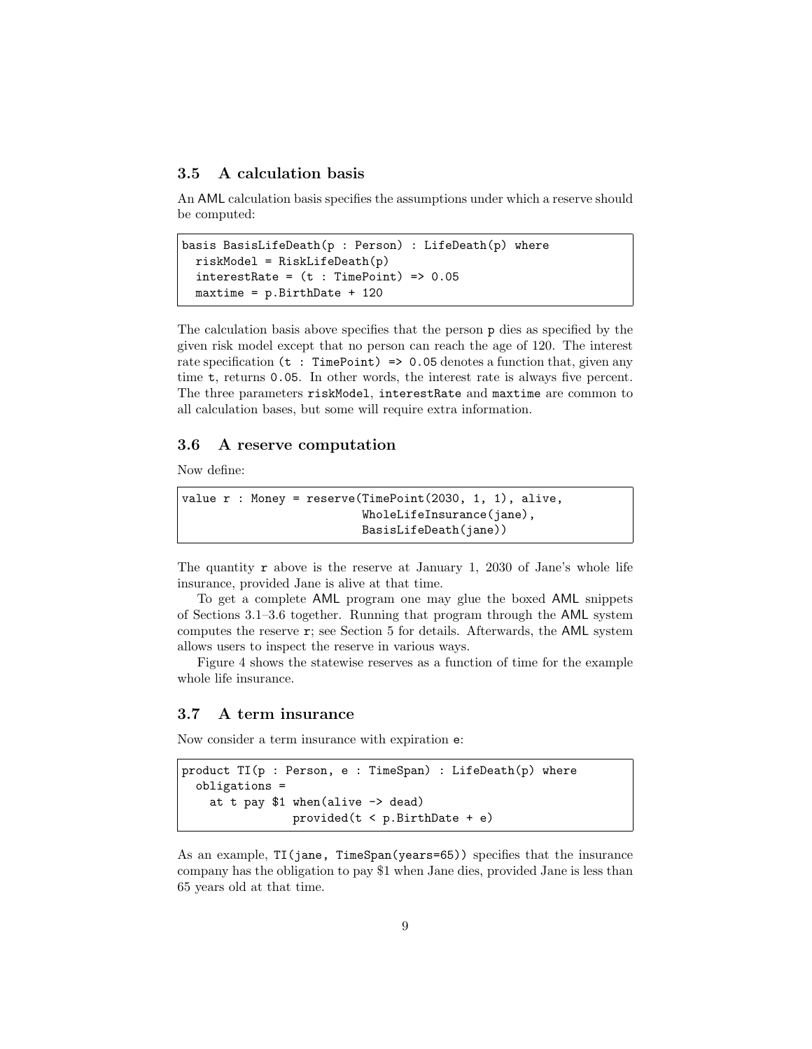#### 3.5 A calculation basis

An AML calculation basis specifies the assumptions under which a reserve should be computed:

```
basis BasisLifeDeath(p : Person) : LifeDeath(p) where
  riskModel = RiskLifeDeath(p)
  interestRate = (t : TimePoint) \Rightarrow 0.05maxtime = p.BirthDate + 120
```
The calculation basis above specifies that the person p dies as specified by the given risk model except that no person can reach the age of 120. The interest rate specification ( $t : TimePoint$ ) => 0.05 denotes a function that, given any time t, returns 0.05. In other words, the interest rate is always five percent. The three parameters riskModel, interestRate and maxtime are common to all calculation bases, but some will require extra information.

#### 3.6 A reserve computation

Now define:

```
value r : Money = reserve(TimePoint(2030, 1, 1), alive,
                          WholeLifeInsurance(jane),
                          BasisLifeDeath(jane))
```
The quantity  $\mathbf r$  above is the reserve at January 1, 2030 of Jane's whole life insurance, provided Jane is alive at that time.

To get a complete AML program one may glue the boxed AML snippets of Sections 3.1–3.6 together. Running that program through the AML system computes the reserve r; see Section 5 for details. Afterwards, the AML system allows users to inspect the reserve in various ways.

Figure 4 shows the statewise reserves as a function of time for the example whole life insurance.

#### 3.7 A term insurance

Now consider a term insurance with expiration e:

```
product TI(p : Person, e : TimeSpan) : LifeDeath(p) where
  obligations =
   at t pay $1 when(alive -> dead)
                provided(t < p.BirthDate + e)
```
As an example, TI(jane, TimeSpan(years=65)) specifies that the insurance company has the obligation to pay \$1 when Jane dies, provided Jane is less than 65 years old at that time.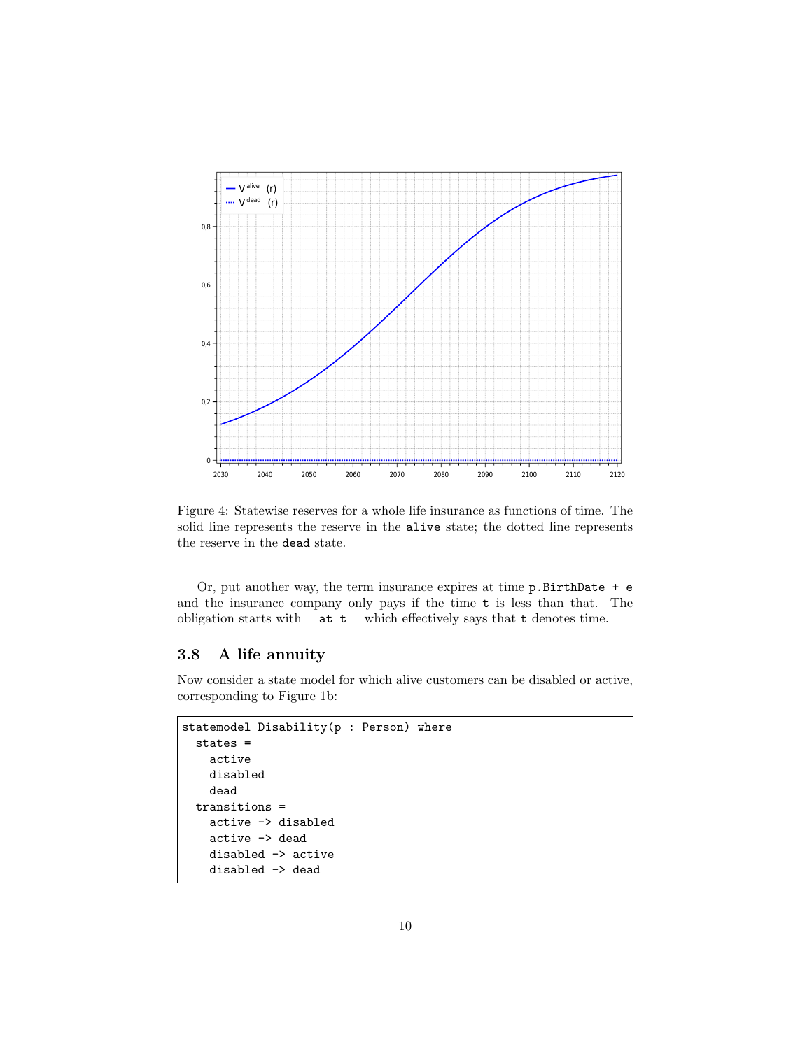

Figure 4: Statewise reserves for a whole life insurance as functions of time. The solid line represents the reserve in the alive state; the dotted line represents the reserve in the dead state.

Or, put another way, the term insurance expires at time  $p$ . BirthDate  $+e$ and the insurance company only pays if the time t is less than that. The obligation starts with at t which effectively says that t denotes time.

#### 3.8 A life annuity

Now consider a state model for which alive customers can be disabled or active, corresponding to Figure 1b:

```
statemodel Disability(p : Person) where
 states =
   active
   disabled
   dead
  transitions =
   active -> disabled
   active -> dead
   disabled -> active
   disabled -> dead
```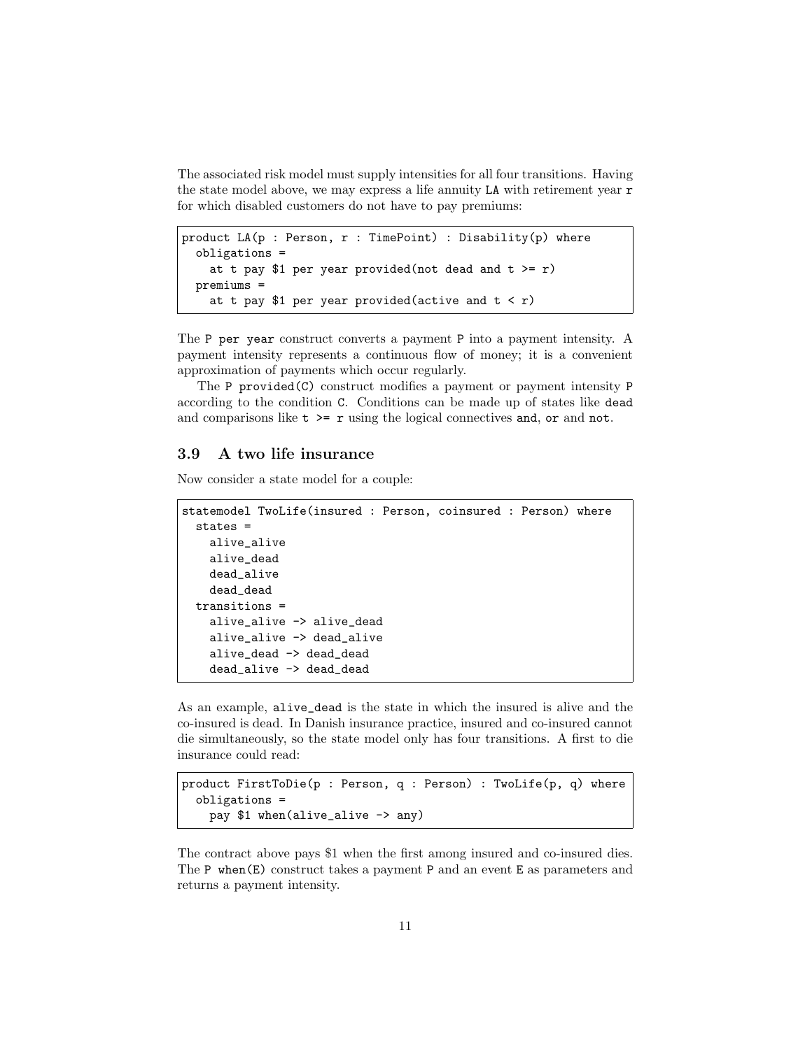The associated risk model must supply intensities for all four transitions. Having the state model above, we may express a life annuity LA with retirement year r for which disabled customers do not have to pay premiums:

```
product LA(p : Person, r : TimePoint) : Disability(p) where
  obligations =
   at t pay $1 per year provided(not dead and t >= r)
  premiums =
   at t pay $1 per year provided(active and t < r)
```
The P per year construct converts a payment P into a payment intensity. A payment intensity represents a continuous flow of money; it is a convenient approximation of payments which occur regularly.

The P provided(C) construct modifies a payment or payment intensity P according to the condition C. Conditions can be made up of states like dead and comparisons like  $t$  >=  $r$  using the logical connectives and, or and not.

#### 3.9 A two life insurance

Now consider a state model for a couple:

```
statemodel TwoLife(insured : Person, coinsured : Person) where
  states =
   alive_alive
   alive_dead
   dead_alive
   dead_dead
  transitions =
   alive_alive -> alive_dead
   alive_alive -> dead_alive
   alive_dead -> dead_dead
   dead_alive -> dead_dead
```
As an example, alive\_dead is the state in which the insured is alive and the co-insured is dead. In Danish insurance practice, insured and co-insured cannot die simultaneously, so the state model only has four transitions. A first to die insurance could read:

```
product FirstToDie(p : Person, q : Person) : TwoLife(p, q) where
  obligations =
    pay $1 when(alive_alive -> any)
```
The contract above pays \$1 when the first among insured and co-insured dies. The P when(E) construct takes a payment P and an event E as parameters and returns a payment intensity.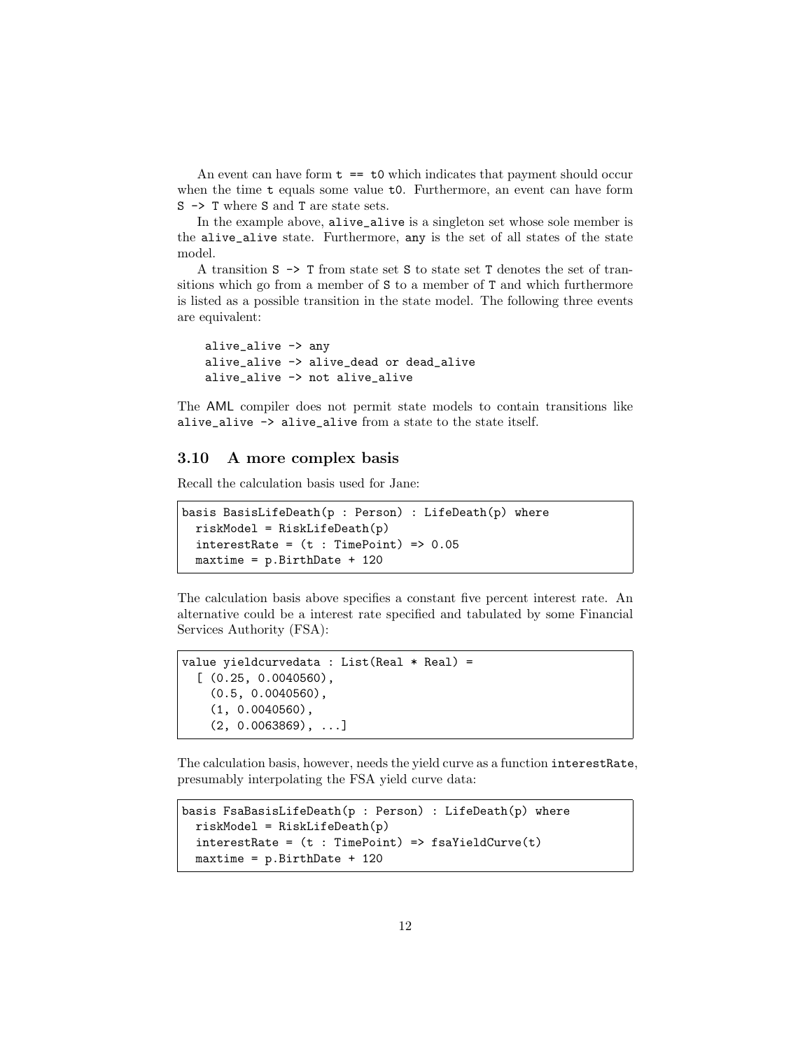An event can have form  $t =$  to which indicates that payment should occur when the time t equals some value t0. Furthermore, an event can have form S -> T where S and T are state sets.

In the example above, alive\_alive is a singleton set whose sole member is the alive\_alive state. Furthermore, any is the set of all states of the state model.

A transition S -> T from state set S to state set T denotes the set of transitions which go from a member of S to a member of T and which furthermore is listed as a possible transition in the state model. The following three events are equivalent:

```
alive_alive -> any
alive_alive -> alive_dead or dead_alive
alive_alive -> not alive_alive
```
The AML compiler does not permit state models to contain transitions like alive\_alive -> alive\_alive from a state to the state itself.

## 3.10 A more complex basis

Recall the calculation basis used for Jane:

```
basis BasisLifeDeath(p : Person) : LifeDeath(p) where
 riskModel = RiskLifeDeath(p)interestRate = (t : TimePoint) \Rightarrow 0.05maxtime = p.BirthDate + 120
```
The calculation basis above specifies a constant five percent interest rate. An alternative could be a interest rate specified and tabulated by some Financial Services Authority (FSA):

```
value yieldcurvedata : List(Real * Real) =
  [ (0.25, 0.0040560),
    (0.5, 0.0040560),
    (1, 0.0040560),
    (2, 0.0063869), ...
```
The calculation basis, however, needs the yield curve as a function interestRate, presumably interpolating the FSA yield curve data:

```
basis FsaBasisLifeDeath(p : Person) : LifeDeath(p) where
 riskModel = RiskLifeDeath(p)
  interestRate = (t : TimePoint) \Rightarrow fsaYieldCurve(t)maxtime = p.BirthDate + 120
```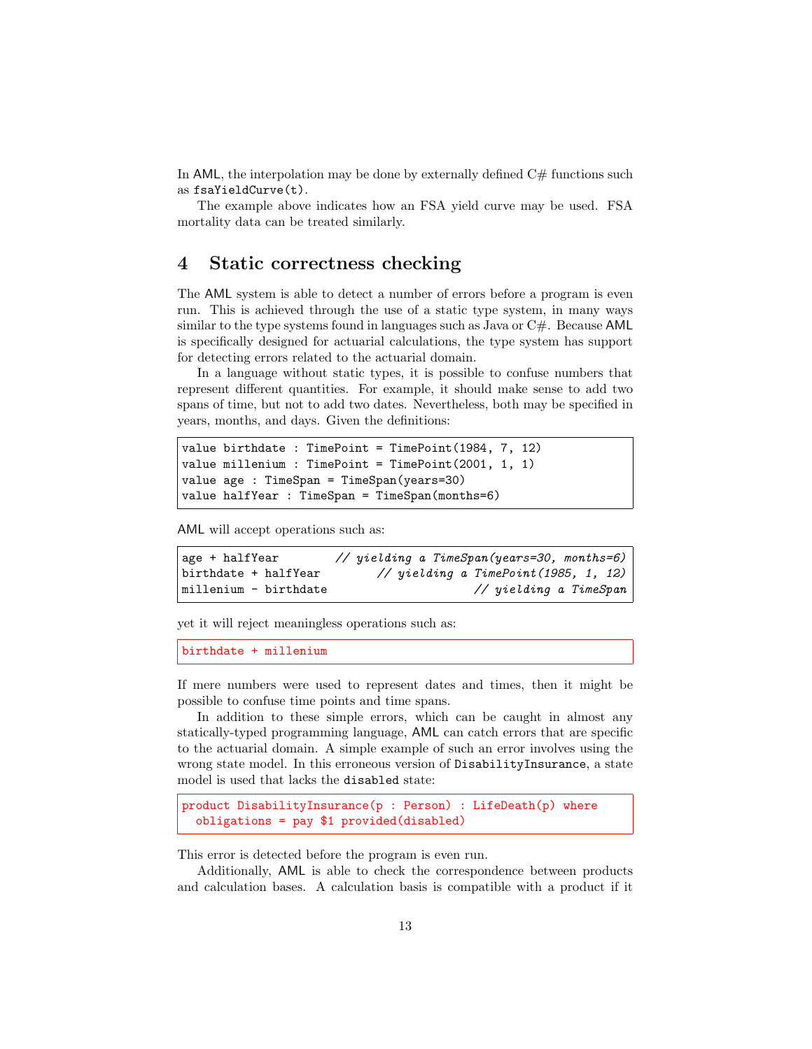In AML, the interpolation may be done by externally defined  $C#$  functions such as fsaYieldCurve(t).

The example above indicates how an FSA yield curve may be used. FSA mortality data can be treated similarly.

## 4 Static correctness checking

The AML system is able to detect a number of errors before a program is even run. This is achieved through the use of a static type system, in many ways similar to the type systems found in languages such as Java or  $C#$ . Because AML is specifically designed for actuarial calculations, the type system has support for detecting errors related to the actuarial domain.

In a language without static types, it is possible to confuse numbers that represent different quantities. For example, it should make sense to add two spans of time, but not to add two dates. Nevertheless, both may be specified in years, months, and days. Given the definitions:

```
value birthdate : TimePoint = TimePoint(1984, 7, 12)
value millenium : TimePoint = TimePoint(2001, 1, 1)value age : TimeSpan = TimeSpan(years=30)
value halfYear : TimeSpan = TimeSpan(months=6)
```
AML will accept operations such as:

```
age + halfYear \frac{1}{2} yielding a TimeSpan(years=30, months=6)
birthdate + halfYear \frac{1}{2} vielding a TimePoint(1985, 1, 12)
millenium - birthdate \frac{1}{2} wielding a TimeSpan
```
yet it will reject meaningless operations such as:

birthdate + millenium

If mere numbers were used to represent dates and times, then it might be possible to confuse time points and time spans.

In addition to these simple errors, which can be caught in almost any statically-typed programming language, AML can catch errors that are specific to the actuarial domain. A simple example of such an error involves using the wrong state model. In this erroneous version of DisabilityInsurance, a state model is used that lacks the disabled state:

```
product DisabilityInsurance(p : Person) : LifeDeath(p) where
  obligations = pay $1 provided(disabled)
```
This error is detected before the program is even run.

Additionally, AML is able to check the correspondence between products and calculation bases. A calculation basis is compatible with a product if it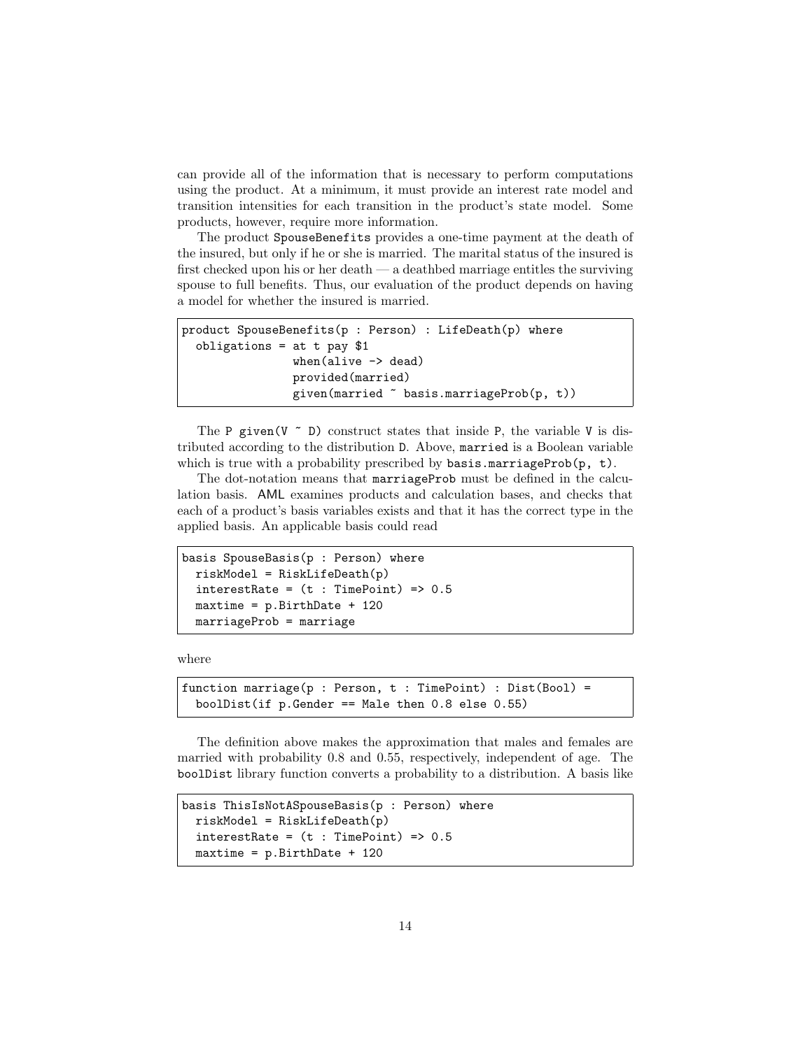can provide all of the information that is necessary to perform computations using the product. At a minimum, it must provide an interest rate model and transition intensities for each transition in the product's state model. Some products, however, require more information.

The product SpouseBenefits provides a one-time payment at the death of the insured, but only if he or she is married. The marital status of the insured is first checked upon his or her death — a deathbed marriage entitles the surviving spouse to full benefits. Thus, our evaluation of the product depends on having a model for whether the insured is married.

```
product SpouseBenefits(p : Person) : LifeDeath(p) where
  obligations = at t pay $1
                when(alive -> dead)
                provided(married)
                given(married ~ basis.marriageProb(p, t))
```
The P given (V  $\tilde{\phantom{a}}$  D) construct states that inside P, the variable V is distributed according to the distribution D. Above, married is a Boolean variable which is true with a probability prescribed by basis.marriageProb( $p$ ,  $t$ ).

The dot-notation means that marriageProb must be defined in the calculation basis. AML examines products and calculation bases, and checks that each of a product's basis variables exists and that it has the correct type in the applied basis. An applicable basis could read

```
basis SpouseBasis(p : Person) where
  riskModel = RiskLifeDeath(p)
  interestRate = (t : TimePoint) \Rightarrow 0.5maxtime = p.BirthDate + 120
  marriageProb = marriage
```
where

```
function marriage(p : Person, t : TimePoint) : Dist(Bool) =
  boolDist(if p.Gender == Male then 0.8 else 0.55)
```
The definition above makes the approximation that males and females are married with probability 0.8 and 0.55, respectively, independent of age. The boolDist library function converts a probability to a distribution. A basis like

```
basis ThisIsNotASpouseBasis(p : Person) where
  riskModel = RiskLifeDeath(p)
  interestRate = (t : TimePoint) \Rightarrow 0.5maxtime = p.BirthDate + 120
```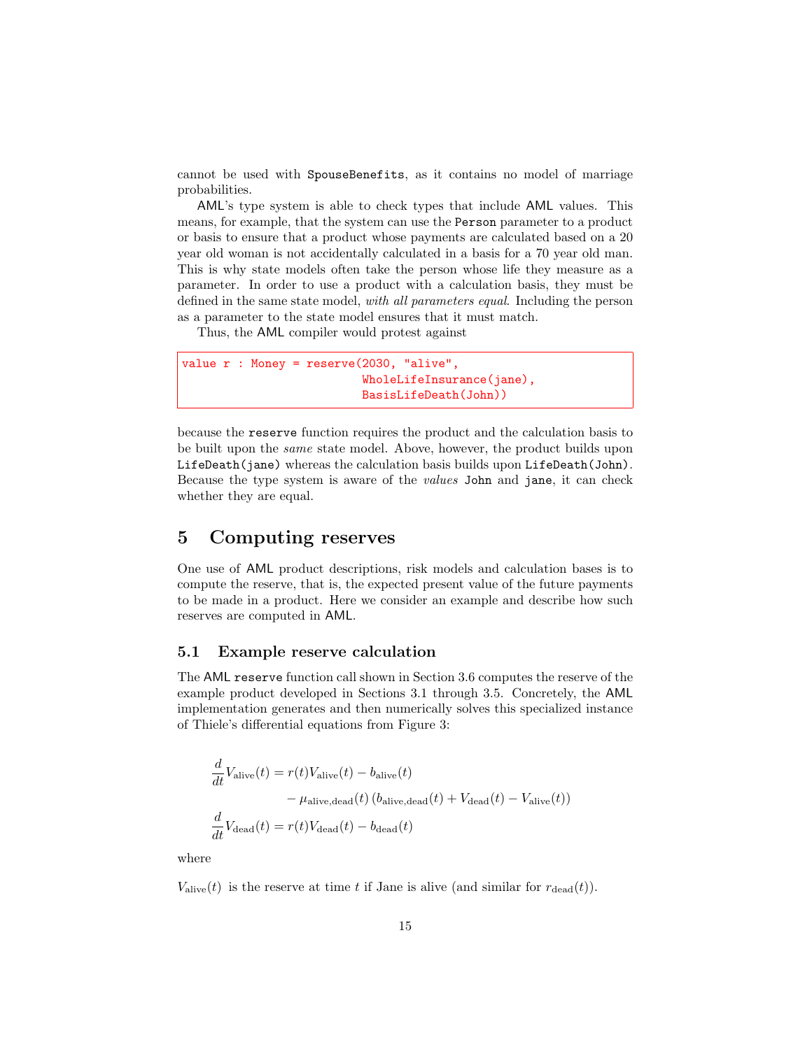cannot be used with SpouseBenefits, as it contains no model of marriage probabilities.

AML's type system is able to check types that include AML values. This means, for example, that the system can use the Person parameter to a product or basis to ensure that a product whose payments are calculated based on a 20 year old woman is not accidentally calculated in a basis for a 70 year old man. This is why state models often take the person whose life they measure as a parameter. In order to use a product with a calculation basis, they must be defined in the same state model, with all parameters equal. Including the person as a parameter to the state model ensures that it must match.

Thus, the AML compiler would protest against

```
value r : Money = reserve(2030, "alive",
                          WholeLifeInsurance(jane),
                          BasisLifeDeath(John))
```
because the reserve function requires the product and the calculation basis to be built upon the same state model. Above, however, the product builds upon LifeDeath(jane) whereas the calculation basis builds upon LifeDeath(John). Because the type system is aware of the values John and jane, it can check whether they are equal.

# 5 Computing reserves

One use of AML product descriptions, risk models and calculation bases is to compute the reserve, that is, the expected present value of the future payments to be made in a product. Here we consider an example and describe how such reserves are computed in AML.

#### 5.1 Example reserve calculation

The AML reserve function call shown in Section 3.6 computes the reserve of the example product developed in Sections 3.1 through 3.5. Concretely, the AML implementation generates and then numerically solves this specialized instance of Thiele's differential equations from Figure 3:

$$
\frac{d}{dt}V_{\text{alive}}(t) = r(t)V_{\text{alive}}(t) - b_{\text{alive}}(t)
$$
\n
$$
- \mu_{\text{alive}, \text{dead}}(t) (b_{\text{alive}, \text{dead}}(t) + V_{\text{dead}}(t) - V_{\text{alive}}(t))
$$
\n
$$
\frac{d}{dt}V_{\text{dead}}(t) = r(t)V_{\text{dead}}(t) - b_{\text{dead}}(t)
$$

where

 $V_{\text{alive}}(t)$  is the reserve at time t if Jane is alive (and similar for  $r_{\text{dead}}(t)$ ).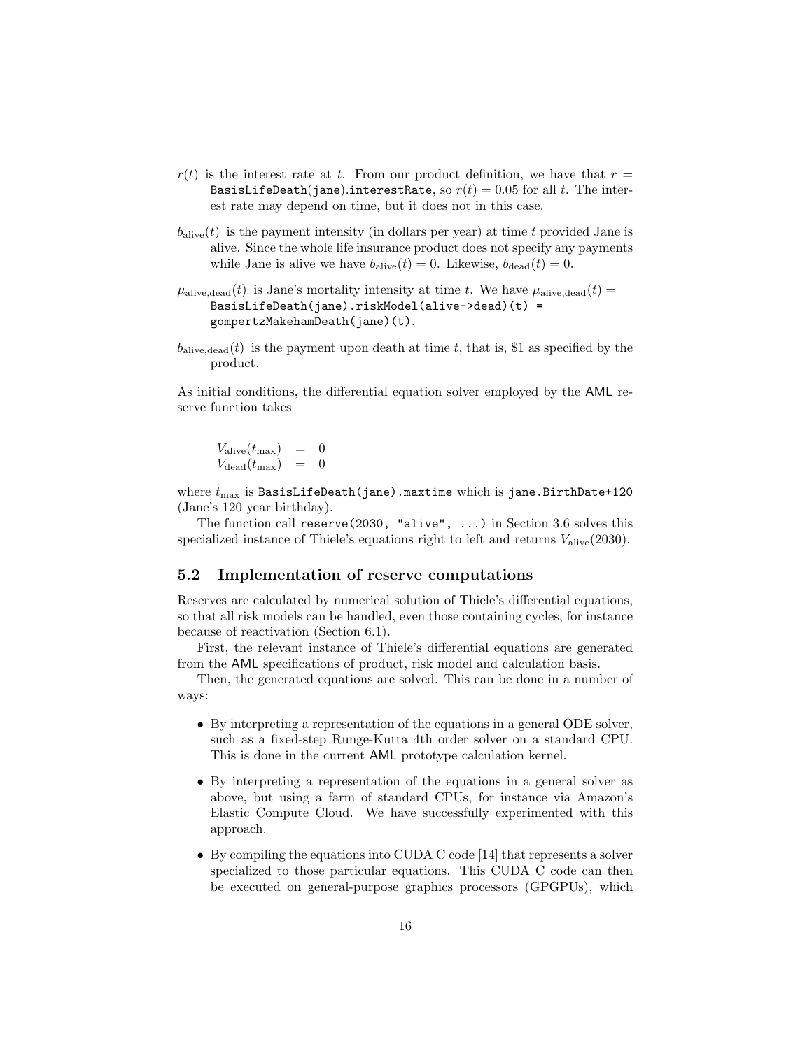- $r(t)$  is the interest rate at t. From our product definition, we have that  $r =$ BasisLifeDeath(jane).interestRate, so  $r(t) = 0.05$  for all t. The interest rate may depend on time, but it does not in this case.
- $b_{\text{alive}}(t)$  is the payment intensity (in dollars per year) at time t provided Jane is alive. Since the whole life insurance product does not specify any payments while Jane is alive we have  $b_{\text{alive}}(t) = 0$ . Likewise,  $b_{\text{dead}}(t) = 0$ .
- $\mu_{\text{alive},\text{dead}}(t)$  is Jane's mortality intensity at time t. We have  $\mu_{\text{alive},\text{dead}}(t)$  = BasisLifeDeath(jane).riskModel(alive->dead)(t) = gompertzMakehamDeath(jane)(t).
- $b_{\text{alive dead}}(t)$  is the payment upon death at time t, that is, \$1 as specified by the product.

As initial conditions, the differential equation solver employed by the AML reserve function takes

 $V_{\rm alive}(t_{\rm max})\quad = \quad 0$  $V_{\rm dead}(t_{\rm max})\quad = \quad 0$ 

where  $t_{\text{max}}$  is BasisLifeDeath(jane).maxtime which is jane.BirthDate+120 (Jane's 120 year birthday).

The function call reserve(2030, "alive", ...) in Section 3.6 solves this specialized instance of Thiele's equations right to left and returns  $V_{\text{alive}}(2030)$ .

#### 5.2 Implementation of reserve computations

Reserves are calculated by numerical solution of Thiele's differential equations, so that all risk models can be handled, even those containing cycles, for instance because of reactivation (Section 6.1).

First, the relevant instance of Thiele's differential equations are generated from the AML specifications of product, risk model and calculation basis.

Then, the generated equations are solved. This can be done in a number of ways:

- By interpreting a representation of the equations in a general ODE solver, such as a fixed-step Runge-Kutta 4th order solver on a standard CPU. This is done in the current AML prototype calculation kernel.
- By interpreting a representation of the equations in a general solver as above, but using a farm of standard CPUs, for instance via Amazon's Elastic Compute Cloud. We have successfully experimented with this approach.
- By compiling the equations into CUDA C code [14] that represents a solver specialized to those particular equations. This CUDA C code can then be executed on general-purpose graphics processors (GPGPUs), which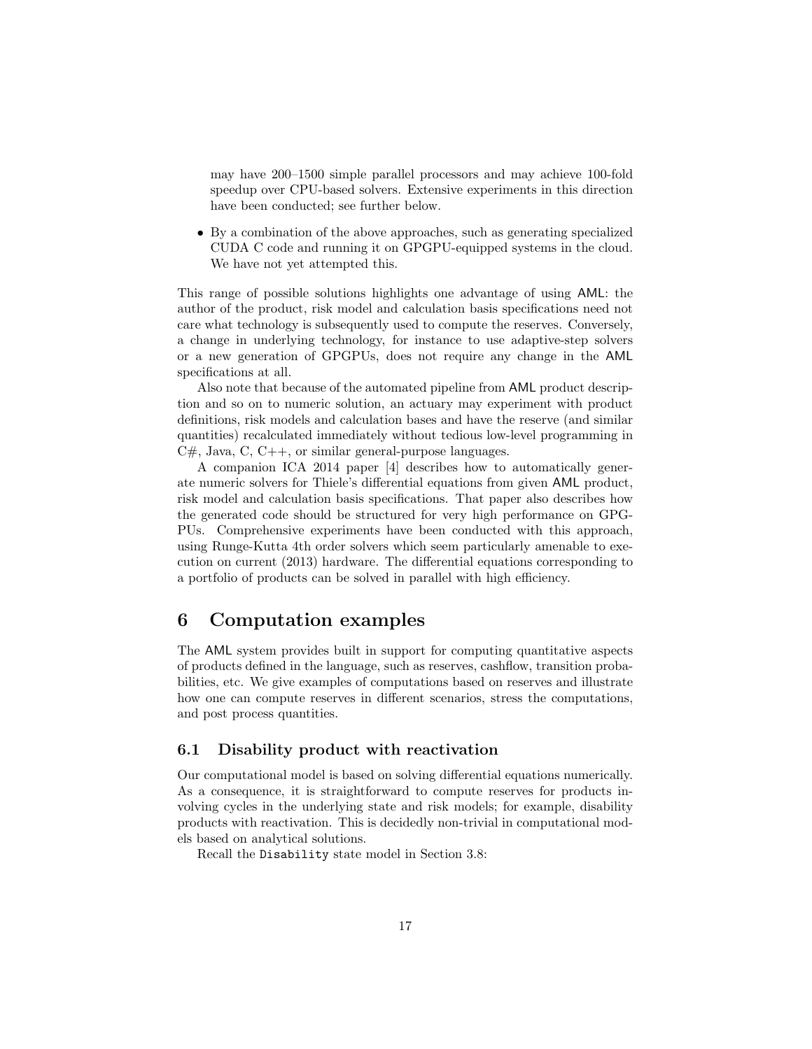may have 200–1500 simple parallel processors and may achieve 100-fold speedup over CPU-based solvers. Extensive experiments in this direction have been conducted; see further below.

• By a combination of the above approaches, such as generating specialized CUDA C code and running it on GPGPU-equipped systems in the cloud. We have not yet attempted this.

This range of possible solutions highlights one advantage of using AML: the author of the product, risk model and calculation basis specifications need not care what technology is subsequently used to compute the reserves. Conversely, a change in underlying technology, for instance to use adaptive-step solvers or a new generation of GPGPUs, does not require any change in the AML specifications at all.

Also note that because of the automated pipeline from AML product description and so on to numeric solution, an actuary may experiment with product definitions, risk models and calculation bases and have the reserve (and similar quantities) recalculated immediately without tedious low-level programming in  $C#$ , Java,  $C$ ,  $C++$ , or similar general-purpose languages.

A companion ICA 2014 paper [4] describes how to automatically generate numeric solvers for Thiele's differential equations from given AML product, risk model and calculation basis specifications. That paper also describes how the generated code should be structured for very high performance on GPG-PUs. Comprehensive experiments have been conducted with this approach, using Runge-Kutta 4th order solvers which seem particularly amenable to execution on current (2013) hardware. The differential equations corresponding to a portfolio of products can be solved in parallel with high efficiency.

# 6 Computation examples

The AML system provides built in support for computing quantitative aspects of products defined in the language, such as reserves, cashflow, transition probabilities, etc. We give examples of computations based on reserves and illustrate how one can compute reserves in different scenarios, stress the computations, and post process quantities.

#### 6.1 Disability product with reactivation

Our computational model is based on solving differential equations numerically. As a consequence, it is straightforward to compute reserves for products involving cycles in the underlying state and risk models; for example, disability products with reactivation. This is decidedly non-trivial in computational models based on analytical solutions.

Recall the Disability state model in Section 3.8: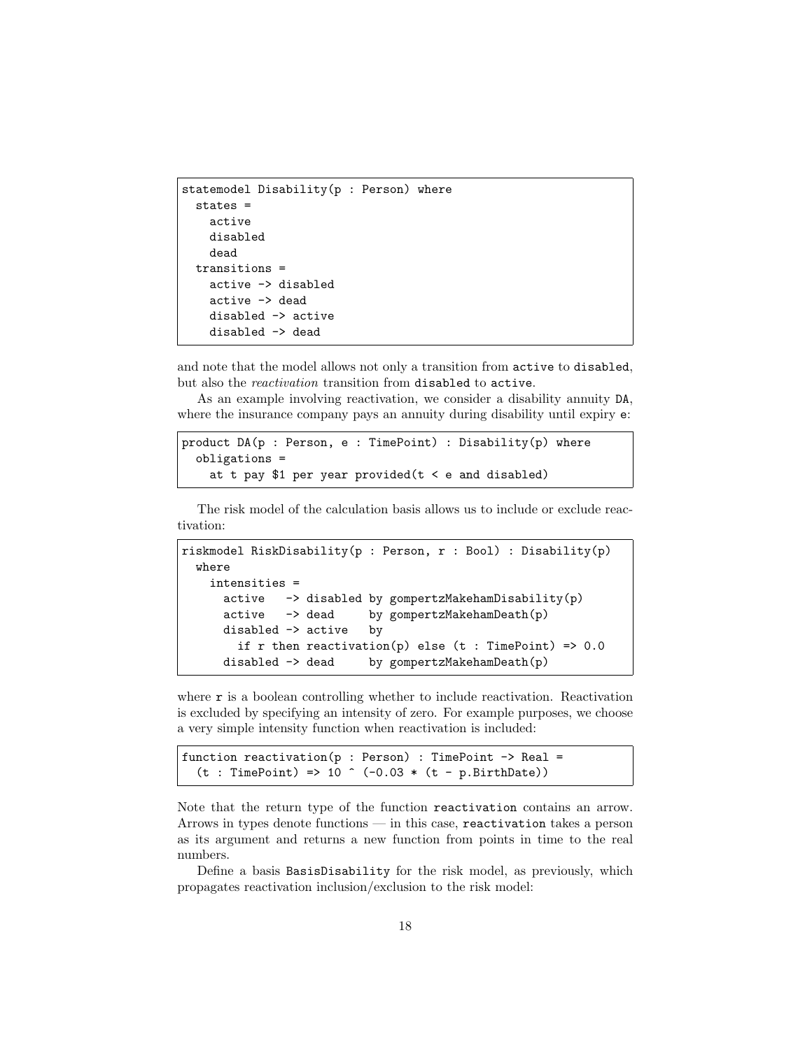```
statemodel Disability(p : Person) where
  states =
    active
    disabled
    dead
  transitions =
    active -> disabled
    active -> dead
    disabled -> active
    disabled -> dead
```
and note that the model allows not only a transition from active to disabled, but also the *reactivation* transition from disabled to active.

As an example involving reactivation, we consider a disability annuity DA, where the insurance company pays an annuity during disability until expiry  $e$ .

```
product DA(p : Person, e : TimePoint) : Disability(p) where
  obligations =
   at t pay $1 per year provided (t < e and disabled)
```
The risk model of the calculation basis allows us to include or exclude reactivation:

```
riskmodel RiskDisability(p : Person, r : Bool) : Disability(p)
 where
   intensities =
     active -> disabled by gompertzMakehamDisability(p)
     active -> dead by gompertzMakehamDeath(p)
     disabled -> active by
       if r then reactivation(p) else (t : TimePoint) => 0.0disabled -> dead by gompertzMakehamDeath(p)
```
where  $r$  is a boolean controlling whether to include reactivation. Reactivation is excluded by specifying an intensity of zero. For example purposes, we choose a very simple intensity function when reactivation is included:

```
function reactivation(p : Person) : TimePoint \rightarrow Real =
  (t : TimePoint) => 10 ^ (-0.03 * (t - p.BirthDate))
```
Note that the return type of the function reactivation contains an arrow. Arrows in types denote functions — in this case, reactivation takes a person as its argument and returns a new function from points in time to the real numbers.

Define a basis BasisDisability for the risk model, as previously, which propagates reactivation inclusion/exclusion to the risk model: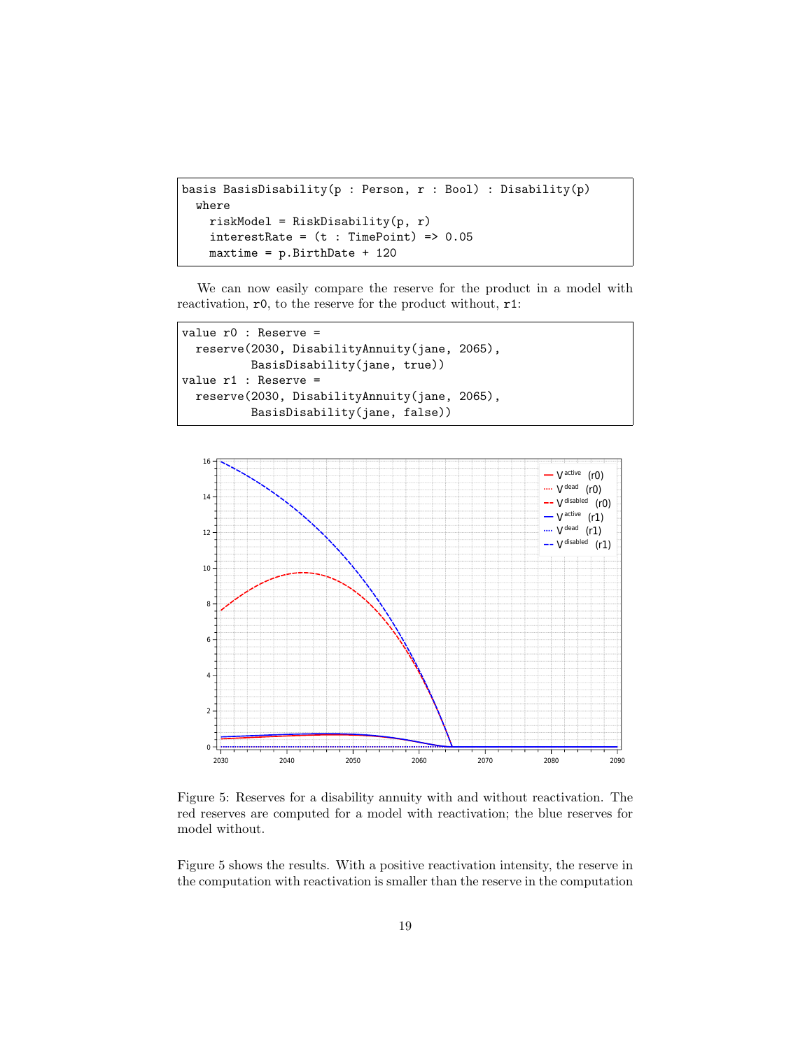```
basis BasisDisability(p : Person, r : Bool) : Disability(p)
  where
   riskModel = RiskDisability(p, r)
    interestRate = (t : TimePoint) => 0.05maxtime = p.BirthDate + 120
```
We can now easily compare the reserve for the product in a model with reactivation, r0, to the reserve for the product without, r1:

```
value r0 : Reserve =
  reserve(2030, DisabilityAnnuity(jane, 2065),
          BasisDisability(jane, true))
value r1 : Reserve =
 reserve(2030, DisabilityAnnuity(jane, 2065),
          BasisDisability(jane, false))
```


Figure 5: Reserves for a disability annuity with and without reactivation. The red reserves are computed for a model with reactivation; the blue reserves for model without.

Figure 5 shows the results. With a positive reactivation intensity, the reserve in the computation with reactivation is smaller than the reserve in the computation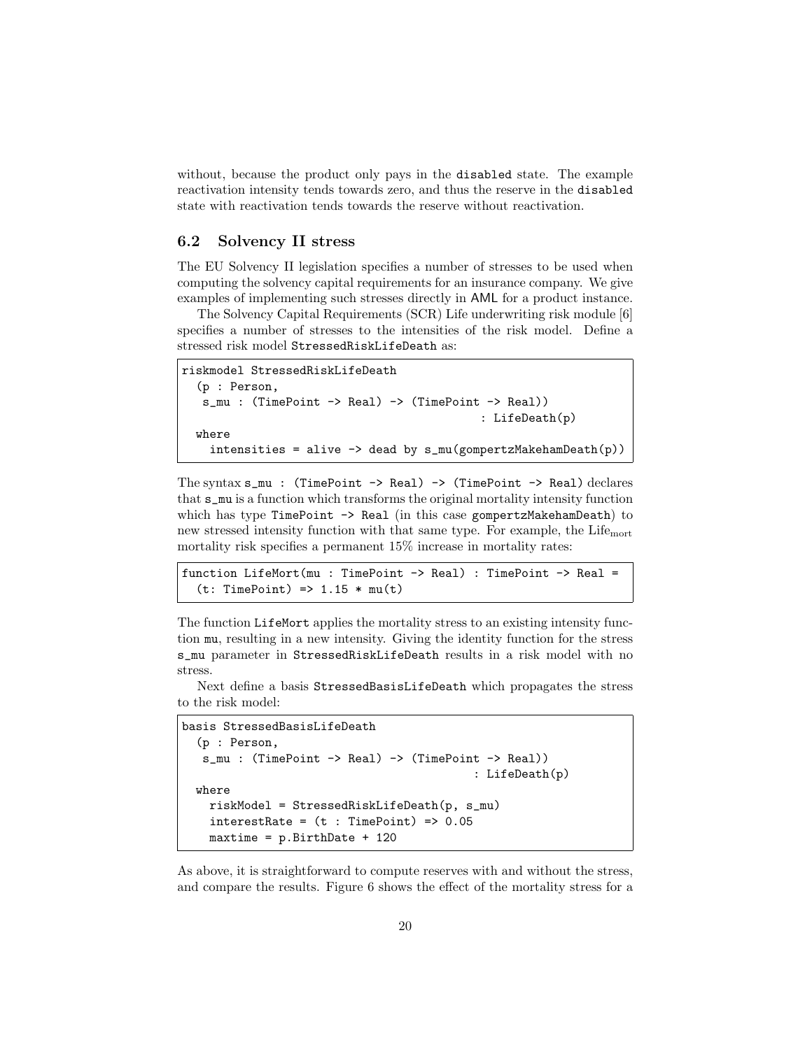without, because the product only pays in the disabled state. The example reactivation intensity tends towards zero, and thus the reserve in the disabled state with reactivation tends towards the reserve without reactivation.

#### 6.2 Solvency II stress

The EU Solvency II legislation specifies a number of stresses to be used when computing the solvency capital requirements for an insurance company. We give examples of implementing such stresses directly in AML for a product instance.

The Solvency Capital Requirements (SCR) Life underwriting risk module [6] specifies a number of stresses to the intensities of the risk model. Define a stressed risk model StressedRiskLifeDeath as:

```
riskmodel StressedRiskLifeDeath
  (p : Person,
   s_mu : (TimePoint -> Real) -> (TimePoint -> Real))
                                              : LifeDeath(p)
  where
    intensities = alive \rightarrow dead by s_mu(gompertzMakehamDeath(p))
```
The syntax  $s_mu$  : (TimePoint -> Real) -> (TimePoint -> Real) declares that s\_mu is a function which transforms the original mortality intensity function which has type TimePoint  $\rightarrow$  Real (in this case gompertzMakehamDeath) to new stressed intensity function with that same type. For example, the Lifemort mortality risk specifies a permanent 15% increase in mortality rates:

```
function LifeMort(mu : TimePoint -> Real) : TimePoint -> Real =
  (t: TimePoint) \Rightarrow 1.15 * mu(t)
```
The function LifeMort applies the mortality stress to an existing intensity function mu, resulting in a new intensity. Giving the identity function for the stress s\_mu parameter in StressedRiskLifeDeath results in a risk model with no stress.

Next define a basis StressedBasisLifeDeath which propagates the stress to the risk model:

```
basis StressedBasisLifeDeath
  (p : Person,
  s_mu : (TimePoint -> Real) -> (TimePoint -> Real))
                                           : LifeDeath(p)
  where
   riskModel = StressedRiskLifeDeath(p, s_mu)
   interestRate = (t : TimePoint) => 0.05
   maxtime = p.BirthDate + 120
```
As above, it is straightforward to compute reserves with and without the stress, and compare the results. Figure 6 shows the effect of the mortality stress for a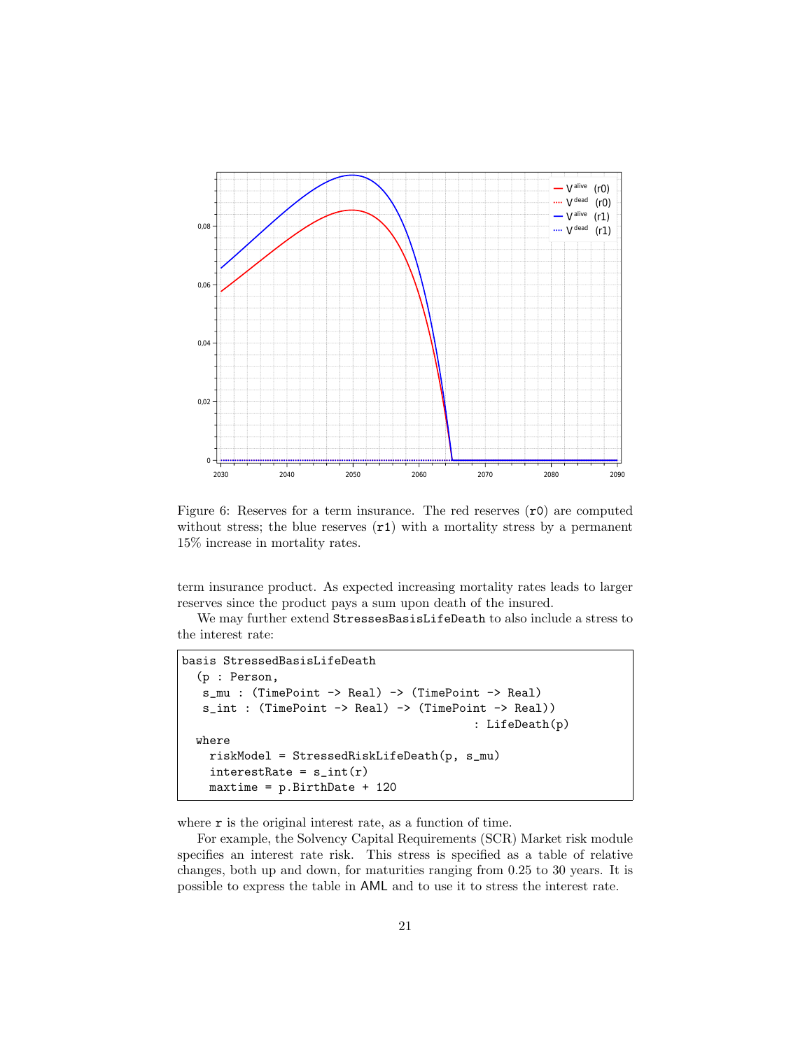

Figure 6: Reserves for a term insurance. The red reserves  $(0)$  are computed without stress; the blue reserves  $(\texttt{r1})$  with a mortality stress by a permanent 15% increase in mortality rates.

term insurance product. As expected increasing mortality rates leads to larger reserves since the product pays a sum upon death of the insured.

We may further extend StressesBasisLifeDeath to also include a stress to the interest rate:

```
basis StressedBasisLifeDeath
  (p : Person,
   s_mu : (TimePoint -> Real) -> (TimePoint -> Real)
  s_int : (TimePoint -> Real) -> (TimePoint -> Real))
                                           : LifeDeath(p)
  where
   riskModel = StressedRiskLifeDeath(p, s_mu)
   interestRate = s_int(r)maxtime = p.BirthDate + 120
```
where  $r$  is the original interest rate, as a function of time.

For example, the Solvency Capital Requirements (SCR) Market risk module specifies an interest rate risk. This stress is specified as a table of relative changes, both up and down, for maturities ranging from 0.25 to 30 years. It is possible to express the table in AML and to use it to stress the interest rate.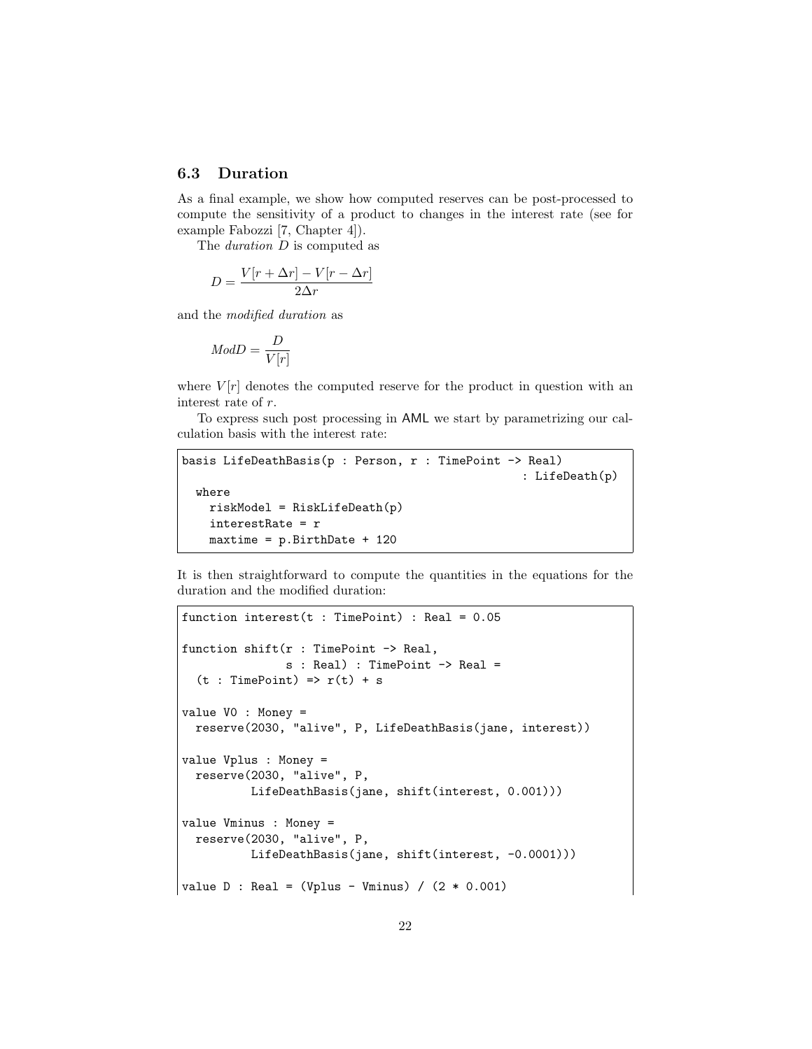#### 6.3 Duration

As a final example, we show how computed reserves can be post-processed to compute the sensitivity of a product to changes in the interest rate (see for example Fabozzi [7, Chapter 4]).

The duration D is computed as

$$
D = \frac{V[r + \Delta r] - V[r - \Delta r]}{2\Delta r}
$$

and the modified duration as

$$
Mod D = \frac{D}{V[r]}
$$

where  $V[r]$  denotes the computed reserve for the product in question with an interest rate of r.

To express such post processing in AML we start by parametrizing our calculation basis with the interest rate:

```
basis LifeDeathBasis(p : Person, r : TimePoint -> Real)
                                                  : LifeDeath(p)
 where
   riskModel = RiskLifeDeath(p)
   interestRate = r
   maxtime = p.BirthDate + 120
```
It is then straightforward to compute the quantities in the equations for the duration and the modified duration:

```
function interest(t : TimePoint) : Real = 0.05
function shift(r : TimePoint -> Real,
               s : Real) : TimePoint -> Real =
  (t : TimePoint) \Rightarrow r(t) + svalue V0 : Money =
  reserve(2030, "alive", P, LifeDeathBasis(jane, interest))
value Vplus : Money =
  reserve(2030, "alive", P,
          LifeDeathBasis(jane, shift(interest, 0.001)))
value Vminus : Money =
 reserve(2030, "alive", P,
          LifeDeathBasis(jane, shift(interest, -0.0001)))
value D : Real = (Vplus - Vminus) / (2 * 0.001)
```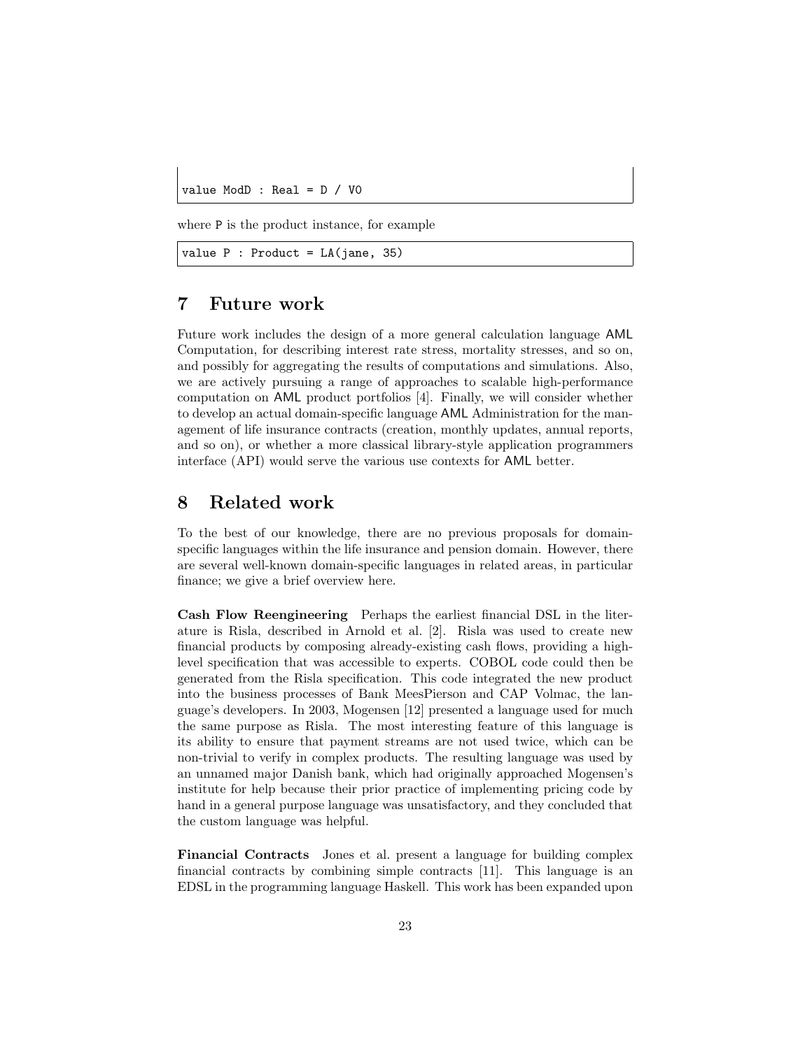value ModD : Real = D / V0

where P is the product instance, for example

```
value P : Product = LA(jane, 35)
```
# 7 Future work

Future work includes the design of a more general calculation language AML Computation, for describing interest rate stress, mortality stresses, and so on, and possibly for aggregating the results of computations and simulations. Also, we are actively pursuing a range of approaches to scalable high-performance computation on AML product portfolios [4]. Finally, we will consider whether to develop an actual domain-specific language AML Administration for the management of life insurance contracts (creation, monthly updates, annual reports, and so on), or whether a more classical library-style application programmers interface (API) would serve the various use contexts for AML better.

# 8 Related work

To the best of our knowledge, there are no previous proposals for domainspecific languages within the life insurance and pension domain. However, there are several well-known domain-specific languages in related areas, in particular finance; we give a brief overview here.

Cash Flow Reengineering Perhaps the earliest financial DSL in the literature is Risla, described in Arnold et al. [2]. Risla was used to create new financial products by composing already-existing cash flows, providing a highlevel specification that was accessible to experts. COBOL code could then be generated from the Risla specification. This code integrated the new product into the business processes of Bank MeesPierson and CAP Volmac, the language's developers. In 2003, Mogensen [12] presented a language used for much the same purpose as Risla. The most interesting feature of this language is its ability to ensure that payment streams are not used twice, which can be non-trivial to verify in complex products. The resulting language was used by an unnamed major Danish bank, which had originally approached Mogensen's institute for help because their prior practice of implementing pricing code by hand in a general purpose language was unsatisfactory, and they concluded that the custom language was helpful.

Financial Contracts Jones et al. present a language for building complex financial contracts by combining simple contracts [11]. This language is an EDSL in the programming language Haskell. This work has been expanded upon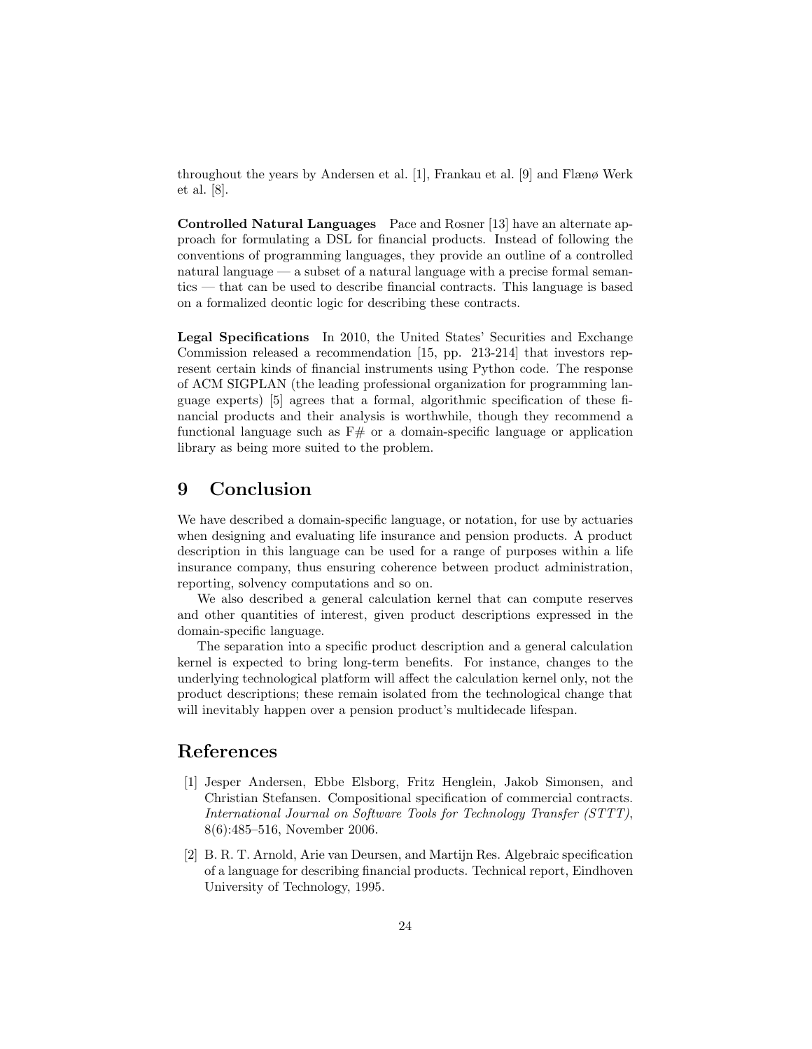throughout the years by Andersen et al. [1], Frankau et al. [9] and Flænø Werk et al. [8].

Controlled Natural Languages Pace and Rosner [13] have an alternate approach for formulating a DSL for financial products. Instead of following the conventions of programming languages, they provide an outline of a controlled natural language — a subset of a natural language with a precise formal semantics — that can be used to describe financial contracts. This language is based on a formalized deontic logic for describing these contracts.

Legal Specifications In 2010, the United States' Securities and Exchange Commission released a recommendation [15, pp. 213-214] that investors represent certain kinds of financial instruments using Python code. The response of ACM SIGPLAN (the leading professional organization for programming language experts) [5] agrees that a formal, algorithmic specification of these financial products and their analysis is worthwhile, though they recommend a functional language such as  $F#$  or a domain-specific language or application library as being more suited to the problem.

# 9 Conclusion

We have described a domain-specific language, or notation, for use by actuaries when designing and evaluating life insurance and pension products. A product description in this language can be used for a range of purposes within a life insurance company, thus ensuring coherence between product administration, reporting, solvency computations and so on.

We also described a general calculation kernel that can compute reserves and other quantities of interest, given product descriptions expressed in the domain-specific language.

The separation into a specific product description and a general calculation kernel is expected to bring long-term benefits. For instance, changes to the underlying technological platform will affect the calculation kernel only, not the product descriptions; these remain isolated from the technological change that will inevitably happen over a pension product's multidecade lifespan.

## References

- [1] Jesper Andersen, Ebbe Elsborg, Fritz Henglein, Jakob Simonsen, and Christian Stefansen. Compositional specification of commercial contracts. International Journal on Software Tools for Technology Transfer (STTT), 8(6):485–516, November 2006.
- [2] B. R. T. Arnold, Arie van Deursen, and Martijn Res. Algebraic specification of a language for describing financial products. Technical report, Eindhoven University of Technology, 1995.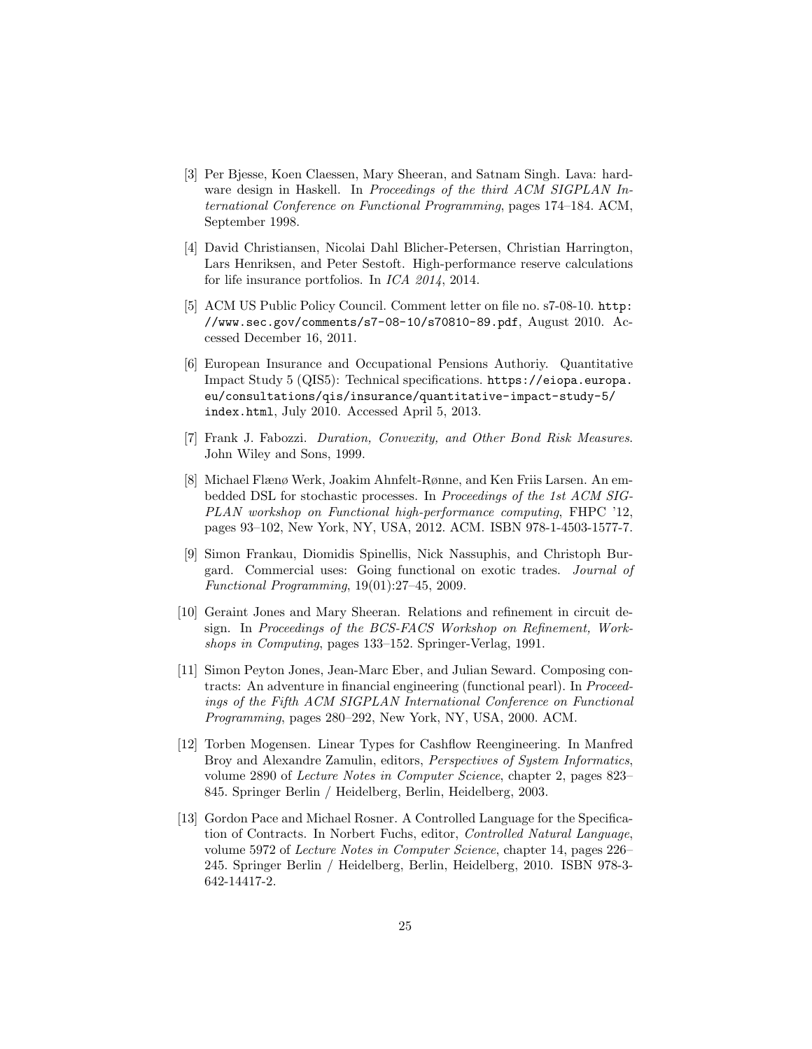- [3] Per Bjesse, Koen Claessen, Mary Sheeran, and Satnam Singh. Lava: hardware design in Haskell. In Proceedings of the third ACM SIGPLAN International Conference on Functional Programming, pages 174–184. ACM, September 1998.
- [4] David Christiansen, Nicolai Dahl Blicher-Petersen, Christian Harrington, Lars Henriksen, and Peter Sestoft. High-performance reserve calculations for life insurance portfolios. In ICA 2014, 2014.
- [5] ACM US Public Policy Council. Comment letter on file no. s7-08-10. http: //www.sec.gov/comments/s7-08-10/s70810-89.pdf, August 2010. Accessed December 16, 2011.
- [6] European Insurance and Occupational Pensions Authoriy. Quantitative Impact Study 5 (QIS5): Technical specifications. https://eiopa.europa. eu/consultations/qis/insurance/quantitative-impact-study-5/ index.html, July 2010. Accessed April 5, 2013.
- [7] Frank J. Fabozzi. Duration, Convexity, and Other Bond Risk Measures. John Wiley and Sons, 1999.
- [8] Michael Flænø Werk, Joakim Ahnfelt-Rønne, and Ken Friis Larsen. An embedded DSL for stochastic processes. In Proceedings of the 1st ACM SIG-PLAN workshop on Functional high-performance computing, FHPC '12, pages 93–102, New York, NY, USA, 2012. ACM. ISBN 978-1-4503-1577-7.
- [9] Simon Frankau, Diomidis Spinellis, Nick Nassuphis, and Christoph Burgard. Commercial uses: Going functional on exotic trades. Journal of Functional Programming, 19(01):27–45, 2009.
- [10] Geraint Jones and Mary Sheeran. Relations and refinement in circuit design. In Proceedings of the BCS-FACS Workshop on Refinement, Workshops in Computing, pages 133–152. Springer-Verlag, 1991.
- [11] Simon Peyton Jones, Jean-Marc Eber, and Julian Seward. Composing contracts: An adventure in financial engineering (functional pearl). In Proceedings of the Fifth ACM SIGPLAN International Conference on Functional Programming, pages 280–292, New York, NY, USA, 2000. ACM.
- [12] Torben Mogensen. Linear Types for Cashflow Reengineering. In Manfred Broy and Alexandre Zamulin, editors, Perspectives of System Informatics, volume 2890 of Lecture Notes in Computer Science, chapter 2, pages 823– 845. Springer Berlin / Heidelberg, Berlin, Heidelberg, 2003.
- [13] Gordon Pace and Michael Rosner. A Controlled Language for the Specification of Contracts. In Norbert Fuchs, editor, Controlled Natural Language, volume 5972 of Lecture Notes in Computer Science, chapter 14, pages 226– 245. Springer Berlin / Heidelberg, Berlin, Heidelberg, 2010. ISBN 978-3- 642-14417-2.